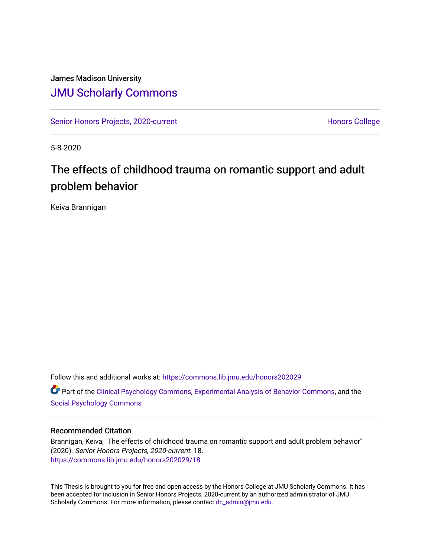## James Madison University [JMU Scholarly Commons](https://commons.lib.jmu.edu/)

[Senior Honors Projects, 2020-current](https://commons.lib.jmu.edu/honors202029) North [Honors College](https://commons.lib.jmu.edu/honors) Honors College

5-8-2020

# The effects of childhood trauma on romantic support and adult problem behavior

Keiva Brannigan

Follow this and additional works at: [https://commons.lib.jmu.edu/honors202029](https://commons.lib.jmu.edu/honors202029?utm_source=commons.lib.jmu.edu%2Fhonors202029%2F18&utm_medium=PDF&utm_campaign=PDFCoverPages) Part of the [Clinical Psychology Commons,](http://network.bepress.com/hgg/discipline/406?utm_source=commons.lib.jmu.edu%2Fhonors202029%2F18&utm_medium=PDF&utm_campaign=PDFCoverPages) [Experimental Analysis of Behavior Commons,](http://network.bepress.com/hgg/discipline/1236?utm_source=commons.lib.jmu.edu%2Fhonors202029%2F18&utm_medium=PDF&utm_campaign=PDFCoverPages) and the [Social Psychology Commons](http://network.bepress.com/hgg/discipline/414?utm_source=commons.lib.jmu.edu%2Fhonors202029%2F18&utm_medium=PDF&utm_campaign=PDFCoverPages)

#### Recommended Citation

Brannigan, Keiva, "The effects of childhood trauma on romantic support and adult problem behavior" (2020). Senior Honors Projects, 2020-current. 18. [https://commons.lib.jmu.edu/honors202029/18](https://commons.lib.jmu.edu/honors202029/18?utm_source=commons.lib.jmu.edu%2Fhonors202029%2F18&utm_medium=PDF&utm_campaign=PDFCoverPages) 

This Thesis is brought to you for free and open access by the Honors College at JMU Scholarly Commons. It has been accepted for inclusion in Senior Honors Projects, 2020-current by an authorized administrator of JMU Scholarly Commons. For more information, please contact [dc\\_admin@jmu.edu.](mailto:dc_admin@jmu.edu)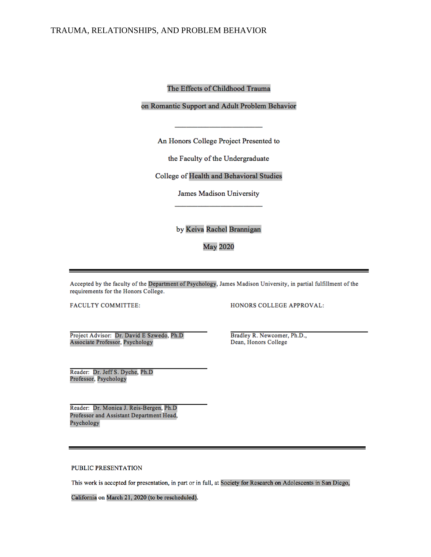The Effects of Childhood Trauma

on Romantic Support and Adult Problem Behavior

An Honors College Project Presented to

the Faculty of the Undergraduate

College of Health and Behavioral Studies

James Madison University

by Keiva Rachel Brannigan

**May 2020** 

Accepted by the faculty of the Department of Psychology, James Madison University, in partial fulfillment of the requirements for the Honors College.

FACULTY COMMITTEE:

HONORS COLLEGE APPROVAL:

Project Advisor: Dr. David E Szwedo, Ph.D Associate Professor, Psychology

Reader: Dr. Jeff S. Dyche, Ph.D Professor, Psychology

Reader: Dr. Monica J. Reis-Bergen, Ph.D Professor and Assistant Department Head, Psychology

Bradley R. Newcomer, Ph.D., Dean, Honors College

PUBLIC PRESENTATION

This work is accepted for presentation, in part or in full, at Society for Research on Adolescents in San Diego,

California on March 21, 2020 (to be rescheduled).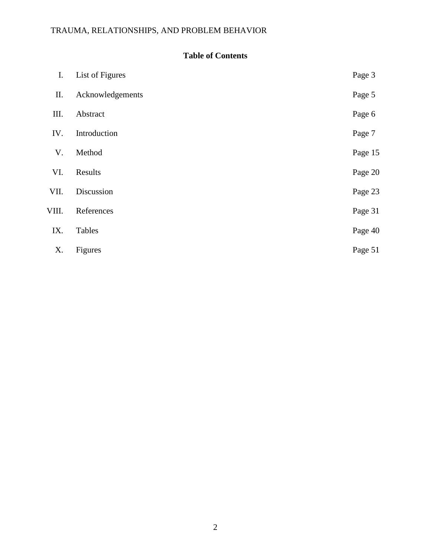## **Table of Contents**

| Ι.    | List of Figures  | Page 3  |
|-------|------------------|---------|
| П.    | Acknowledgements | Page 5  |
| III.  | Abstract         | Page 6  |
| IV.   | Introduction     | Page 7  |
| V.    | Method           | Page 15 |
| VI.   | Results          | Page 20 |
| VII.  | Discussion       | Page 23 |
| VIII. | References       | Page 31 |
| IX.   | Tables           | Page 40 |
| Χ.    | Figures          | Page 51 |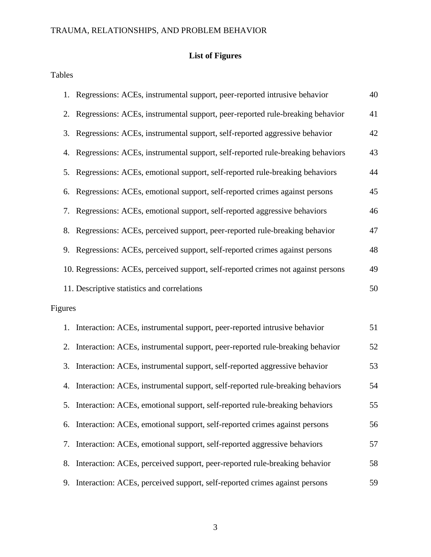## **List of Figures**

Tables

|         | 1. Regressions: ACEs, instrumental support, peer-reported intrusive behavior       | 40 |
|---------|------------------------------------------------------------------------------------|----|
|         | 2. Regressions: ACEs, instrumental support, peer-reported rule-breaking behavior   | 41 |
|         | 3. Regressions: ACEs, instrumental support, self-reported aggressive behavior      | 42 |
| 4.      | Regressions: ACEs, instrumental support, self-reported rule-breaking behaviors     | 43 |
|         | 5. Regressions: ACEs, emotional support, self-reported rule-breaking behaviors     | 44 |
| 6.      | Regressions: ACEs, emotional support, self-reported crimes against persons         | 45 |
| 7.      | Regressions: ACEs, emotional support, self-reported aggressive behaviors           | 46 |
| 8.      | Regressions: ACEs, perceived support, peer-reported rule-breaking behavior         | 47 |
|         | 9. Regressions: ACEs, perceived support, self-reported crimes against persons      | 48 |
|         | 10. Regressions: ACEs, perceived support, self-reported crimes not against persons | 49 |
|         | 11. Descriptive statistics and correlations                                        | 50 |
| Figures |                                                                                    |    |
|         | 1. Interaction: ACEs, instrumental support, peer-reported intrusive behavior       | 51 |
| 2.      | Interaction: ACEs, instrumental support, peer-reported rule-breaking behavior      | 52 |
| 3.      | Interaction: ACEs, instrumental support, self-reported aggressive behavior         | 53 |
| 4.      | Interaction: ACEs, instrumental support, self-reported rule-breaking behaviors     | 54 |
|         | 5. Interaction: ACEs, emotional support, self-reported rule-breaking behaviors     | 55 |
| 6.      | Interaction: ACEs, emotional support, self-reported crimes against persons         | 56 |
| 7.      | Interaction: ACEs, emotional support, self-reported aggressive behaviors           | 57 |
| 8.      | Interaction: ACEs, perceived support, peer-reported rule-breaking behavior         | 58 |
| 9.      | Interaction: ACEs, perceived support, self-reported crimes against persons         | 59 |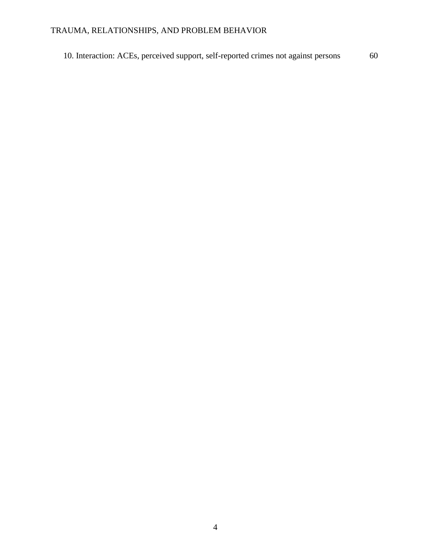10. Interaction: ACEs, perceived support, self-reported crimes not against persons 60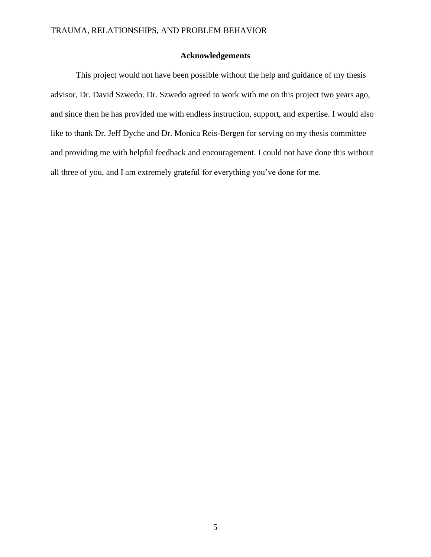### **Acknowledgements**

This project would not have been possible without the help and guidance of my thesis advisor, Dr. David Szwedo. Dr. Szwedo agreed to work with me on this project two years ago, and since then he has provided me with endless instruction, support, and expertise. I would also like to thank Dr. Jeff Dyche and Dr. Monica Reis-Bergen for serving on my thesis committee and providing me with helpful feedback and encouragement. I could not have done this without all three of you, and I am extremely grateful for everything you've done for me.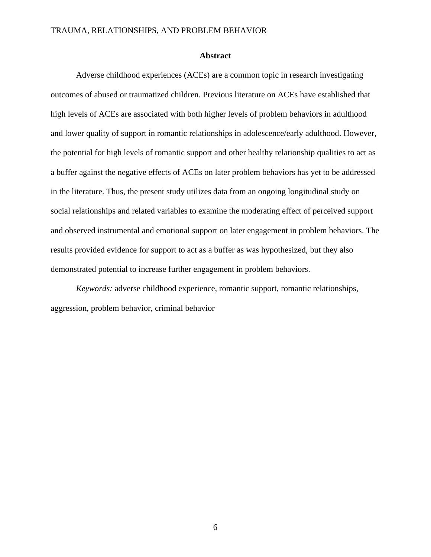#### **Abstract**

Adverse childhood experiences (ACEs) are a common topic in research investigating outcomes of abused or traumatized children. Previous literature on ACEs have established that high levels of ACEs are associated with both higher levels of problem behaviors in adulthood and lower quality of support in romantic relationships in adolescence/early adulthood. However, the potential for high levels of romantic support and other healthy relationship qualities to act as a buffer against the negative effects of ACEs on later problem behaviors has yet to be addressed in the literature. Thus, the present study utilizes data from an ongoing longitudinal study on social relationships and related variables to examine the moderating effect of perceived support and observed instrumental and emotional support on later engagement in problem behaviors. The results provided evidence for support to act as a buffer as was hypothesized, but they also demonstrated potential to increase further engagement in problem behaviors.

*Keywords:* adverse childhood experience, romantic support, romantic relationships, aggression, problem behavior, criminal behavior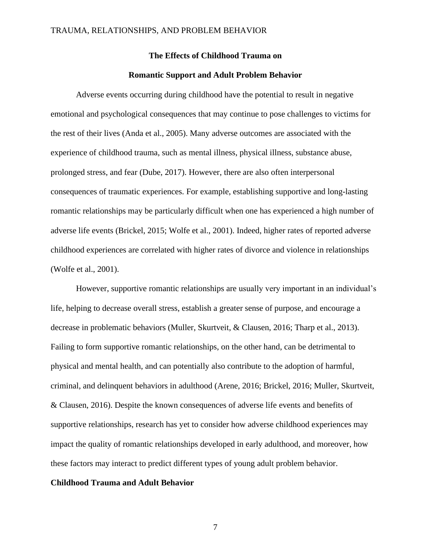#### **The Effects of Childhood Trauma on**

#### **Romantic Support and Adult Problem Behavior**

Adverse events occurring during childhood have the potential to result in negative emotional and psychological consequences that may continue to pose challenges to victims for the rest of their lives (Anda et al., 2005). Many adverse outcomes are associated with the experience of childhood trauma, such as mental illness, physical illness, substance abuse, prolonged stress, and fear (Dube, 2017). However, there are also often interpersonal consequences of traumatic experiences. For example, establishing supportive and long-lasting romantic relationships may be particularly difficult when one has experienced a high number of adverse life events (Brickel, 2015; Wolfe et al., 2001). Indeed, higher rates of reported adverse childhood experiences are correlated with higher rates of divorce and violence in relationships (Wolfe et al., 2001).

However, supportive romantic relationships are usually very important in an individual's life, helping to decrease overall stress, establish a greater sense of purpose, and encourage a decrease in problematic behaviors (Muller, Skurtveit, & Clausen, 2016; Tharp et al., 2013). Failing to form supportive romantic relationships, on the other hand, can be detrimental to physical and mental health, and can potentially also contribute to the adoption of harmful, criminal, and delinquent behaviors in adulthood (Arene, 2016; Brickel, 2016; Muller, Skurtveit, & Clausen, 2016). Despite the known consequences of adverse life events and benefits of supportive relationships, research has yet to consider how adverse childhood experiences may impact the quality of romantic relationships developed in early adulthood, and moreover, how these factors may interact to predict different types of young adult problem behavior.

#### **Childhood Trauma and Adult Behavior**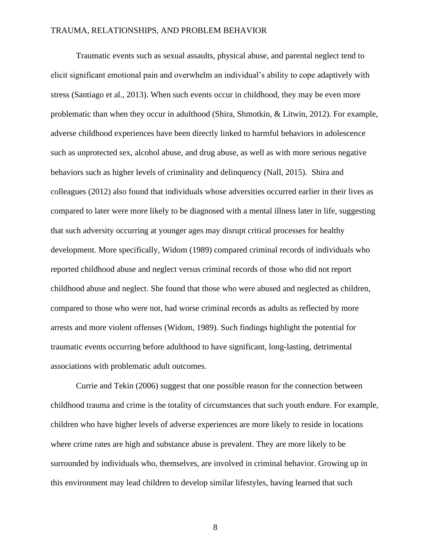Traumatic events such as sexual assaults, physical abuse, and parental neglect tend to elicit significant emotional pain and overwhelm an individual's ability to cope adaptively with stress (Santiago et al., 2013). When such events occur in childhood, they may be even more problematic than when they occur in adulthood (Shira, Shmotkin, & Litwin, 2012). For example, adverse childhood experiences have been directly linked to harmful behaviors in adolescence such as unprotected sex, alcohol abuse, and drug abuse, as well as with more serious negative behaviors such as higher levels of criminality and delinquency (Nall, 2015). Shira and colleagues (2012) also found that individuals whose adversities occurred earlier in their lives as compared to later were more likely to be diagnosed with a mental illness later in life, suggesting that such adversity occurring at younger ages may disrupt critical processes for healthy development. More specifically, Widom (1989) compared criminal records of individuals who reported childhood abuse and neglect versus criminal records of those who did not report childhood abuse and neglect. She found that those who were abused and neglected as children, compared to those who were not, had worse criminal records as adults as reflected by more arrests and more violent offenses (Widom, 1989). Such findings highlight the potential for traumatic events occurring before adulthood to have significant, long-lasting, detrimental associations with problematic adult outcomes.

Currie and Tekin (2006) suggest that one possible reason for the connection between childhood trauma and crime is the totality of circumstances that such youth endure. For example, children who have higher levels of adverse experiences are more likely to reside in locations where crime rates are high and substance abuse is prevalent. They are more likely to be surrounded by individuals who, themselves, are involved in criminal behavior. Growing up in this environment may lead children to develop similar lifestyles, having learned that such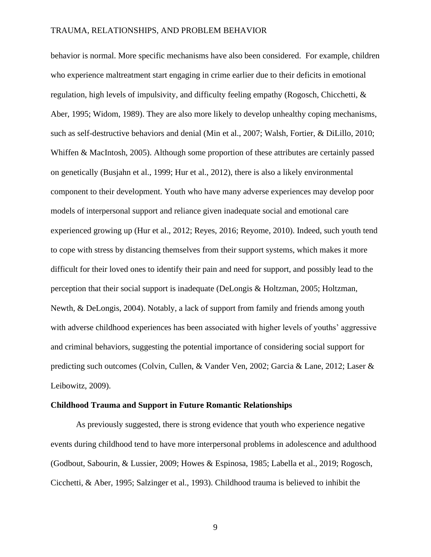behavior is normal. More specific mechanisms have also been considered. For example, children who experience maltreatment start engaging in crime earlier due to their deficits in emotional regulation, high levels of impulsivity, and difficulty feeling empathy (Rogosch, Chicchetti, & Aber, 1995; Widom, 1989). They are also more likely to develop unhealthy coping mechanisms, such as self-destructive behaviors and denial (Min et al., 2007; Walsh, Fortier, & DiLillo, 2010; Whiffen & MacIntosh, 2005). Although some proportion of these attributes are certainly passed on genetically (Busjahn et al., 1999; Hur et al., 2012), there is also a likely environmental component to their development. Youth who have many adverse experiences may develop poor models of interpersonal support and reliance given inadequate social and emotional care experienced growing up (Hur et al., 2012; Reyes, 2016; Reyome, 2010). Indeed, such youth tend to cope with stress by distancing themselves from their support systems, which makes it more difficult for their loved ones to identify their pain and need for support, and possibly lead to the perception that their social support is inadequate (DeLongis & Holtzman, 2005; Holtzman, Newth, & DeLongis, 2004). Notably, a lack of support from family and friends among youth with adverse childhood experiences has been associated with higher levels of youths' aggressive and criminal behaviors, suggesting the potential importance of considering social support for predicting such outcomes (Colvin, Cullen, & Vander Ven, 2002; Garcia & Lane, 2012; Laser & Leibowitz, 2009).

#### **Childhood Trauma and Support in Future Romantic Relationships**

As previously suggested, there is strong evidence that youth who experience negative events during childhood tend to have more interpersonal problems in adolescence and adulthood (Godbout, Sabourin, & Lussier, 2009; Howes & Espinosa, 1985; Labella et al., 2019; Rogosch, Cicchetti, & Aber, 1995; Salzinger et al., 1993). Childhood trauma is believed to inhibit the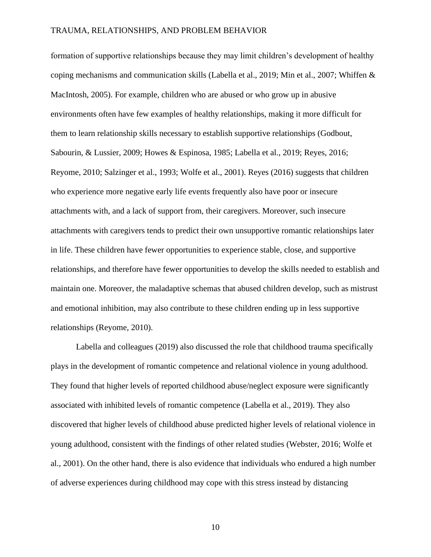formation of supportive relationships because they may limit children's development of healthy coping mechanisms and communication skills (Labella et al., 2019; Min et al., 2007; Whiffen & MacIntosh, 2005). For example, children who are abused or who grow up in abusive environments often have few examples of healthy relationships, making it more difficult for them to learn relationship skills necessary to establish supportive relationships (Godbout, Sabourin, & Lussier, 2009; Howes & Espinosa, 1985; Labella et al., 2019; Reyes, 2016; Reyome, 2010; Salzinger et al., 1993; Wolfe et al., 2001). Reyes (2016) suggests that children who experience more negative early life events frequently also have poor or insecure attachments with, and a lack of support from, their caregivers. Moreover, such insecure attachments with caregivers tends to predict their own unsupportive romantic relationships later in life. These children have fewer opportunities to experience stable, close, and supportive relationships, and therefore have fewer opportunities to develop the skills needed to establish and maintain one. Moreover, the maladaptive schemas that abused children develop, such as mistrust and emotional inhibition, may also contribute to these children ending up in less supportive relationships (Reyome, 2010).

Labella and colleagues (2019) also discussed the role that childhood trauma specifically plays in the development of romantic competence and relational violence in young adulthood. They found that higher levels of reported childhood abuse/neglect exposure were significantly associated with inhibited levels of romantic competence (Labella et al., 2019). They also discovered that higher levels of childhood abuse predicted higher levels of relational violence in young adulthood, consistent with the findings of other related studies (Webster, 2016; Wolfe et al., 2001). On the other hand, there is also evidence that individuals who endured a high number of adverse experiences during childhood may cope with this stress instead by distancing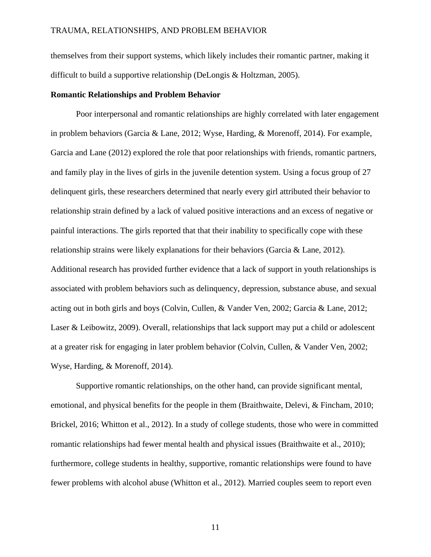themselves from their support systems, which likely includes their romantic partner, making it difficult to build a supportive relationship (DeLongis & Holtzman, 2005).

#### **Romantic Relationships and Problem Behavior**

Poor interpersonal and romantic relationships are highly correlated with later engagement in problem behaviors (Garcia & Lane, 2012; Wyse, Harding, & Morenoff, 2014). For example, Garcia and Lane (2012) explored the role that poor relationships with friends, romantic partners, and family play in the lives of girls in the juvenile detention system. Using a focus group of 27 delinquent girls, these researchers determined that nearly every girl attributed their behavior to relationship strain defined by a lack of valued positive interactions and an excess of negative or painful interactions. The girls reported that that their inability to specifically cope with these relationship strains were likely explanations for their behaviors (Garcia & Lane, 2012). Additional research has provided further evidence that a lack of support in youth relationships is associated with problem behaviors such as delinquency, depression, substance abuse, and sexual acting out in both girls and boys (Colvin, Cullen, & Vander Ven, 2002; Garcia & Lane, 2012; Laser & Leibowitz, 2009). Overall, relationships that lack support may put a child or adolescent at a greater risk for engaging in later problem behavior (Colvin, Cullen, & Vander Ven, 2002; Wyse, Harding, & Morenoff, 2014).

Supportive romantic relationships, on the other hand, can provide significant mental, emotional, and physical benefits for the people in them (Braithwaite, Delevi, & Fincham, 2010; Brickel, 2016; Whitton et al., 2012). In a study of college students, those who were in committed romantic relationships had fewer mental health and physical issues (Braithwaite et al., 2010); furthermore, college students in healthy, supportive, romantic relationships were found to have fewer problems with alcohol abuse (Whitton et al., 2012). Married couples seem to report even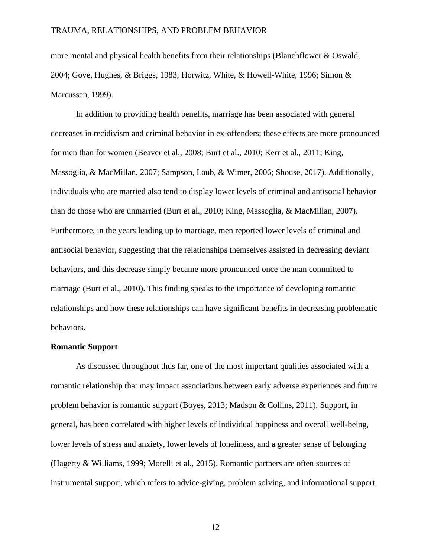more mental and physical health benefits from their relationships (Blanchflower & Oswald, 2004; Gove, Hughes, & Briggs, 1983; Horwitz, White, & Howell-White, 1996; Simon & Marcussen, 1999).

In addition to providing health benefits, marriage has been associated with general decreases in recidivism and criminal behavior in ex-offenders; these effects are more pronounced for men than for women (Beaver et al., 2008; Burt et al., 2010; Kerr et al., 2011; King, Massoglia, & MacMillan, 2007; Sampson, Laub, & Wimer, 2006; Shouse, 2017). Additionally, individuals who are married also tend to display lower levels of criminal and antisocial behavior than do those who are unmarried (Burt et al., 2010; King, Massoglia, & MacMillan, 2007). Furthermore, in the years leading up to marriage, men reported lower levels of criminal and antisocial behavior, suggesting that the relationships themselves assisted in decreasing deviant behaviors, and this decrease simply became more pronounced once the man committed to marriage (Burt et al., 2010). This finding speaks to the importance of developing romantic relationships and how these relationships can have significant benefits in decreasing problematic behaviors.

#### **Romantic Support**

As discussed throughout thus far, one of the most important qualities associated with a romantic relationship that may impact associations between early adverse experiences and future problem behavior is romantic support (Boyes, 2013; Madson & Collins, 2011). Support, in general, has been correlated with higher levels of individual happiness and overall well-being, lower levels of stress and anxiety, lower levels of loneliness, and a greater sense of belonging (Hagerty & Williams, 1999; Morelli et al., 2015). Romantic partners are often sources of instrumental support, which refers to advice-giving, problem solving, and informational support,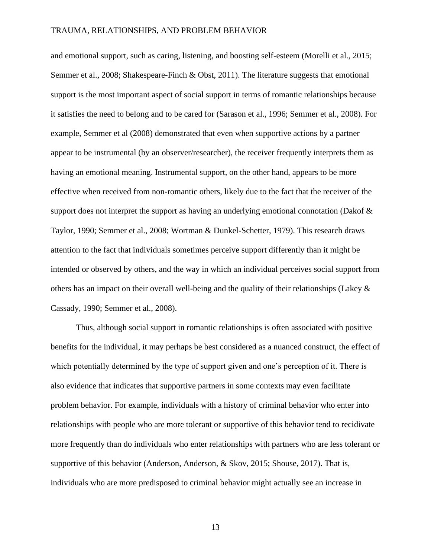and emotional support, such as caring, listening, and boosting self-esteem (Morelli et al., 2015; Semmer et al., 2008; Shakespeare-Finch & Obst, 2011). The literature suggests that emotional support is the most important aspect of social support in terms of romantic relationships because it satisfies the need to belong and to be cared for (Sarason et al., 1996; Semmer et al., 2008). For example, Semmer et al (2008) demonstrated that even when supportive actions by a partner appear to be instrumental (by an observer/researcher), the receiver frequently interprets them as having an emotional meaning. Instrumental support, on the other hand, appears to be more effective when received from non-romantic others, likely due to the fact that the receiver of the support does not interpret the support as having an underlying emotional connotation (Dakof & Taylor, 1990; Semmer et al., 2008; Wortman & Dunkel-Schetter, 1979). This research draws attention to the fact that individuals sometimes perceive support differently than it might be intended or observed by others, and the way in which an individual perceives social support from others has an impact on their overall well-being and the quality of their relationships (Lakey & Cassady, 1990; Semmer et al., 2008).

Thus, although social support in romantic relationships is often associated with positive benefits for the individual, it may perhaps be best considered as a nuanced construct, the effect of which potentially determined by the type of support given and one's perception of it. There is also evidence that indicates that supportive partners in some contexts may even facilitate problem behavior. For example, individuals with a history of criminal behavior who enter into relationships with people who are more tolerant or supportive of this behavior tend to recidivate more frequently than do individuals who enter relationships with partners who are less tolerant or supportive of this behavior (Anderson, Anderson, & Skov, 2015; Shouse, 2017). That is, individuals who are more predisposed to criminal behavior might actually see an increase in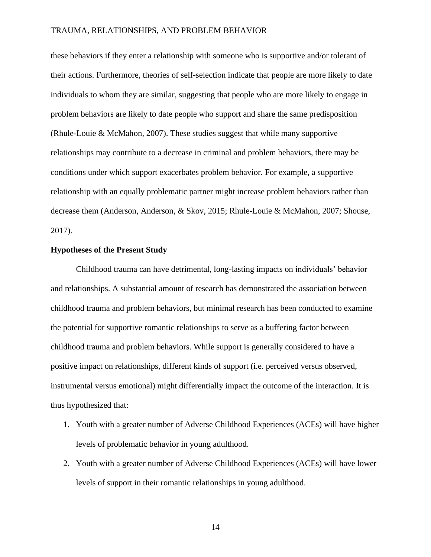these behaviors if they enter a relationship with someone who is supportive and/or tolerant of their actions. Furthermore, theories of self-selection indicate that people are more likely to date individuals to whom they are similar, suggesting that people who are more likely to engage in problem behaviors are likely to date people who support and share the same predisposition (Rhule-Louie & McMahon, 2007). These studies suggest that while many supportive relationships may contribute to a decrease in criminal and problem behaviors, there may be conditions under which support exacerbates problem behavior. For example, a supportive relationship with an equally problematic partner might increase problem behaviors rather than decrease them (Anderson, Anderson, & Skov, 2015; Rhule-Louie & McMahon, 2007; Shouse, 2017).

#### **Hypotheses of the Present Study**

Childhood trauma can have detrimental, long-lasting impacts on individuals' behavior and relationships. A substantial amount of research has demonstrated the association between childhood trauma and problem behaviors, but minimal research has been conducted to examine the potential for supportive romantic relationships to serve as a buffering factor between childhood trauma and problem behaviors. While support is generally considered to have a positive impact on relationships, different kinds of support (i.e. perceived versus observed, instrumental versus emotional) might differentially impact the outcome of the interaction. It is thus hypothesized that:

- 1. Youth with a greater number of Adverse Childhood Experiences (ACEs) will have higher levels of problematic behavior in young adulthood.
- 2. Youth with a greater number of Adverse Childhood Experiences (ACEs) will have lower levels of support in their romantic relationships in young adulthood.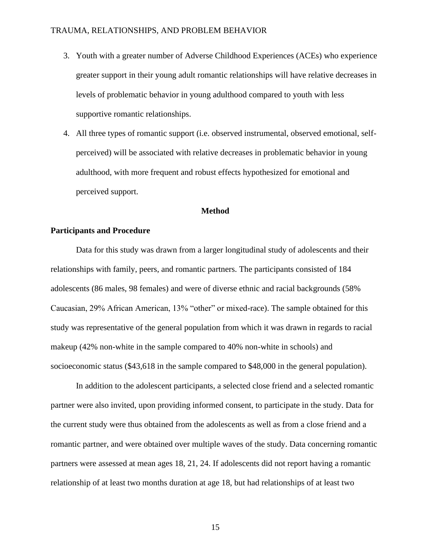- 3. Youth with a greater number of Adverse Childhood Experiences (ACEs) who experience greater support in their young adult romantic relationships will have relative decreases in levels of problematic behavior in young adulthood compared to youth with less supportive romantic relationships.
- 4. All three types of romantic support (i.e. observed instrumental, observed emotional, selfperceived) will be associated with relative decreases in problematic behavior in young adulthood, with more frequent and robust effects hypothesized for emotional and perceived support.

#### **Method**

#### **Participants and Procedure**

Data for this study was drawn from a larger longitudinal study of adolescents and their relationships with family, peers, and romantic partners. The participants consisted of 184 adolescents (86 males, 98 females) and were of diverse ethnic and racial backgrounds (58% Caucasian, 29% African American, 13% "other" or mixed-race). The sample obtained for this study was representative of the general population from which it was drawn in regards to racial makeup (42% non-white in the sample compared to 40% non-white in schools) and socioeconomic status (\$43,618 in the sample compared to \$48,000 in the general population).

In addition to the adolescent participants, a selected close friend and a selected romantic partner were also invited, upon providing informed consent, to participate in the study. Data for the current study were thus obtained from the adolescents as well as from a close friend and a romantic partner, and were obtained over multiple waves of the study. Data concerning romantic partners were assessed at mean ages 18, 21, 24. If adolescents did not report having a romantic relationship of at least two months duration at age 18, but had relationships of at least two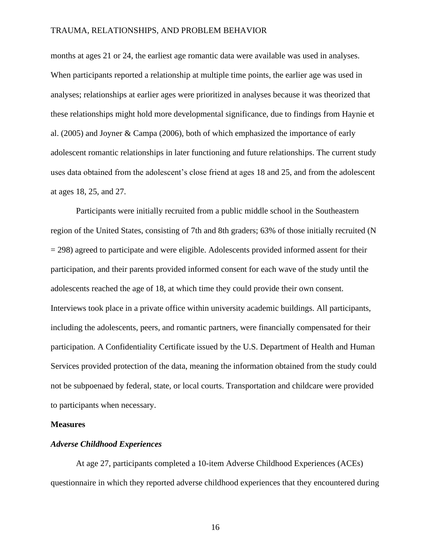months at ages 21 or 24, the earliest age romantic data were available was used in analyses. When participants reported a relationship at multiple time points, the earlier age was used in analyses; relationships at earlier ages were prioritized in analyses because it was theorized that these relationships might hold more developmental significance, due to findings from Haynie et al. (2005) and Joyner & Campa (2006), both of which emphasized the importance of early adolescent romantic relationships in later functioning and future relationships. The current study uses data obtained from the adolescent's close friend at ages 18 and 25, and from the adolescent at ages 18, 25, and 27.

Participants were initially recruited from a public middle school in the Southeastern region of the United States, consisting of 7th and 8th graders; 63% of those initially recruited (N  $= 298$ ) agreed to participate and were eligible. Adolescents provided informed assent for their participation, and their parents provided informed consent for each wave of the study until the adolescents reached the age of 18, at which time they could provide their own consent. Interviews took place in a private office within university academic buildings. All participants, including the adolescents, peers, and romantic partners, were financially compensated for their participation. A Confidentiality Certificate issued by the U.S. Department of Health and Human Services provided protection of the data, meaning the information obtained from the study could not be subpoenaed by federal, state, or local courts. Transportation and childcare were provided to participants when necessary.

#### **Measures**

#### *Adverse Childhood Experiences*

At age 27, participants completed a 10-item Adverse Childhood Experiences (ACEs) questionnaire in which they reported adverse childhood experiences that they encountered during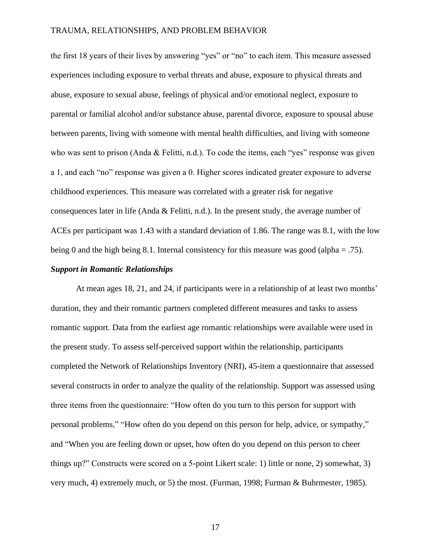the first 18 years of their lives by answering "yes" or "no" to each item. This measure assessed experiences including exposure to verbal threats and abuse, exposure to physical threats and abuse, exposure to sexual abuse, feelings of physical and/or emotional neglect, exposure to parental or familial alcohol and/or substance abuse, parental divorce, exposure to spousal abuse between parents, living with someone with mental health difficulties, and living with someone who was sent to prison (Anda & Felitti, n.d.). To code the items, each "yes" response was given a 1, and each "no" response was given a 0. Higher scores indicated greater exposure to adverse childhood experiences. This measure was correlated with a greater risk for negative consequences later in life (Anda & Felitti, n.d.). In the present study, the average number of ACEs per participant was 1.43 with a standard deviation of 1.86. The range was 8.1, with the low being 0 and the high being 8.1. Internal consistency for this measure was good (alpha  $= .75$ ).

#### *Support in Romantic Relationships*

At mean ages 18, 21, and 24, if participants were in a relationship of at least two months' duration, they and their romantic partners completed different measures and tasks to assess romantic support. Data from the earliest age romantic relationships were available were used in the present study. To assess self-perceived support within the relationship, participants completed the Network of Relationships Inventory (NRI), 45-item a questionnaire that assessed several constructs in order to analyze the quality of the relationship. Support was assessed using three items from the questionnaire: "How often do you turn to this person for support with personal problems," "How often do you depend on this person for help, advice, or sympathy," and "When you are feeling down or upset, how often do you depend on this person to cheer things up?" Constructs were scored on a 5-point Likert scale: 1) little or none, 2) somewhat, 3) very much, 4) extremely much, or 5) the most. (Furman, 1998; Furman & Buhrmester, 1985).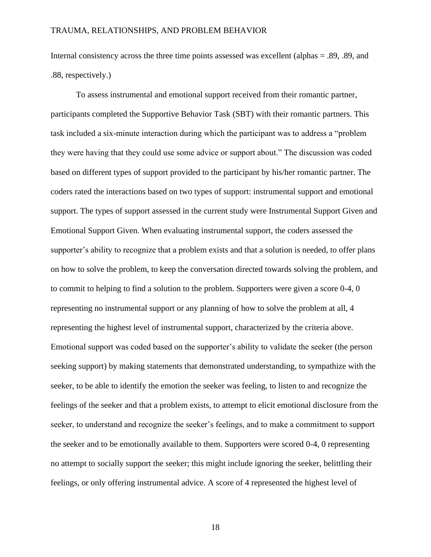Internal consistency across the three time points assessed was excellent (alphas = .89, .89, and .88, respectively.)

To assess instrumental and emotional support received from their romantic partner, participants completed the Supportive Behavior Task (SBT) with their romantic partners. This task included a six-minute interaction during which the participant was to address a "problem they were having that they could use some advice or support about." The discussion was coded based on different types of support provided to the participant by his/her romantic partner. The coders rated the interactions based on two types of support: instrumental support and emotional support. The types of support assessed in the current study were Instrumental Support Given and Emotional Support Given. When evaluating instrumental support, the coders assessed the supporter's ability to recognize that a problem exists and that a solution is needed, to offer plans on how to solve the problem, to keep the conversation directed towards solving the problem, and to commit to helping to find a solution to the problem. Supporters were given a score 0-4, 0 representing no instrumental support or any planning of how to solve the problem at all, 4 representing the highest level of instrumental support, characterized by the criteria above. Emotional support was coded based on the supporter's ability to validate the seeker (the person seeking support) by making statements that demonstrated understanding, to sympathize with the seeker, to be able to identify the emotion the seeker was feeling, to listen to and recognize the feelings of the seeker and that a problem exists, to attempt to elicit emotional disclosure from the seeker, to understand and recognize the seeker's feelings, and to make a commitment to support the seeker and to be emotionally available to them. Supporters were scored 0-4, 0 representing no attempt to socially support the seeker; this might include ignoring the seeker, belittling their feelings, or only offering instrumental advice. A score of 4 represented the highest level of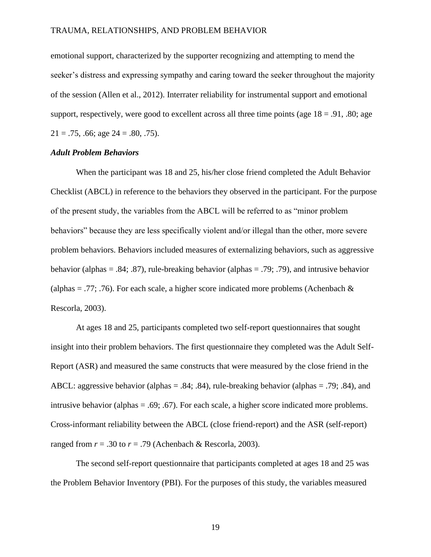emotional support, characterized by the supporter recognizing and attempting to mend the seeker's distress and expressing sympathy and caring toward the seeker throughout the majority of the session (Allen et al., 2012). Interrater reliability for instrumental support and emotional support, respectively, were good to excellent across all three time points (age  $18 = .91, .80$ ; age  $21 = .75, .66$ ; age  $24 = .80, .75$ ).

#### *Adult Problem Behaviors*

When the participant was 18 and 25, his/her close friend completed the Adult Behavior Checklist (ABCL) in reference to the behaviors they observed in the participant. For the purpose of the present study, the variables from the ABCL will be referred to as "minor problem behaviors" because they are less specifically violent and/or illegal than the other, more severe problem behaviors. Behaviors included measures of externalizing behaviors, such as aggressive behavior (alphas = .84; .87), rule-breaking behavior (alphas = .79; .79), and intrusive behavior (alphas = .77; .76). For each scale, a higher score indicated more problems (Achenbach  $\&$ Rescorla, 2003).

At ages 18 and 25, participants completed two self-report questionnaires that sought insight into their problem behaviors. The first questionnaire they completed was the Adult Self-Report (ASR) and measured the same constructs that were measured by the close friend in the ABCL: aggressive behavior (alphas  $= .84$ ; .84), rule-breaking behavior (alphas  $= .79$ ; .84), and intrusive behavior (alphas = .69; .67). For each scale, a higher score indicated more problems. Cross-informant reliability between the ABCL (close friend-report) and the ASR (self-report) ranged from  $r = .30$  to  $r = .79$  (Achenbach & Rescorla, 2003).

The second self-report questionnaire that participants completed at ages 18 and 25 was the Problem Behavior Inventory (PBI). For the purposes of this study, the variables measured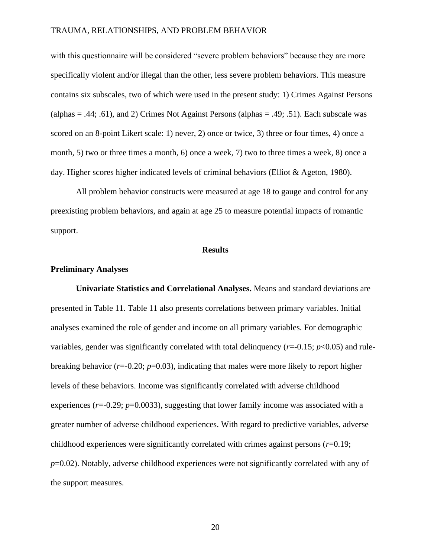with this questionnaire will be considered "severe problem behaviors" because they are more specifically violent and/or illegal than the other, less severe problem behaviors. This measure contains six subscales, two of which were used in the present study: 1) Crimes Against Persons (alphas  $= .44$ ; .61), and 2) Crimes Not Against Persons (alphas  $= .49$ ; .51). Each subscale was scored on an 8-point Likert scale: 1) never, 2) once or twice, 3) three or four times, 4) once a month, 5) two or three times a month, 6) once a week, 7) two to three times a week, 8) once a day. Higher scores higher indicated levels of criminal behaviors (Elliot & Ageton, 1980).

All problem behavior constructs were measured at age 18 to gauge and control for any preexisting problem behaviors, and again at age 25 to measure potential impacts of romantic support.

#### **Results**

#### **Preliminary Analyses**

**Univariate Statistics and Correlational Analyses.** Means and standard deviations are presented in Table 11. Table 11 also presents correlations between primary variables. Initial analyses examined the role of gender and income on all primary variables. For demographic variables, gender was significantly correlated with total delinquency (*r*=-0.15; *p*<0.05) and rulebreaking behavior  $(r=0.20; p=0.03)$ , indicating that males were more likely to report higher levels of these behaviors. Income was significantly correlated with adverse childhood experiences  $(r=0.29; p=0.0033)$ , suggesting that lower family income was associated with a greater number of adverse childhood experiences. With regard to predictive variables, adverse childhood experiences were significantly correlated with crimes against persons (*r*=0.19; *p*=0.02). Notably, adverse childhood experiences were not significantly correlated with any of the support measures.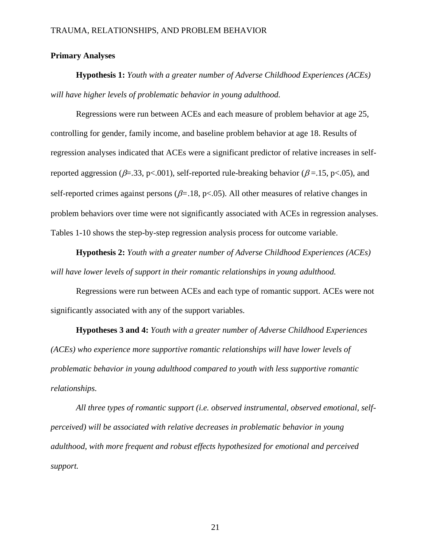### **Primary Analyses**

**Hypothesis 1:** *Youth with a greater number of Adverse Childhood Experiences (ACEs) will have higher levels of problematic behavior in young adulthood.*

Regressions were run between ACEs and each measure of problem behavior at age 25, controlling for gender, family income, and baseline problem behavior at age 18. Results of regression analyses indicated that ACEs were a significant predictor of relative increases in selfreported aggression ( $\beta$ =.33, p<.001), self-reported rule-breaking behavior ( $\beta$ =.15, p<.05), and self-reported crimes against persons ( $\beta$ =.18, p<.05). All other measures of relative changes in problem behaviors over time were not significantly associated with ACEs in regression analyses. Tables 1-10 shows the step-by-step regression analysis process for outcome variable.

**Hypothesis 2:** *Youth with a greater number of Adverse Childhood Experiences (ACEs) will have lower levels of support in their romantic relationships in young adulthood.*

Regressions were run between ACEs and each type of romantic support. ACEs were not significantly associated with any of the support variables.

**Hypotheses 3 and 4:** *Youth with a greater number of Adverse Childhood Experiences (ACEs) who experience more supportive romantic relationships will have lower levels of problematic behavior in young adulthood compared to youth with less supportive romantic relationships.*

*All three types of romantic support (i.e. observed instrumental, observed emotional, selfperceived) will be associated with relative decreases in problematic behavior in young adulthood, with more frequent and robust effects hypothesized for emotional and perceived support.*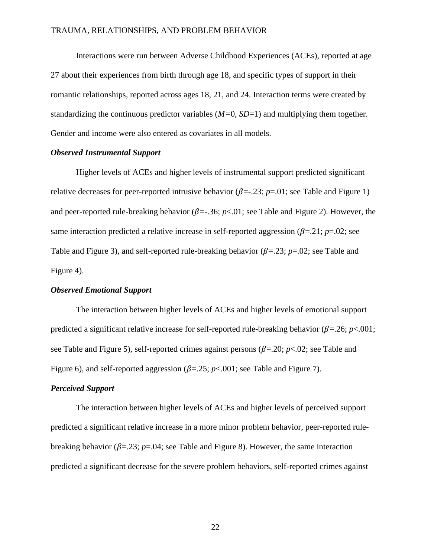Interactions were run between Adverse Childhood Experiences (ACEs), reported at age 27 about their experiences from birth through age 18, and specific types of support in their romantic relationships, reported across ages 18, 21, and 24. Interaction terms were created by standardizing the continuous predictor variables (*M=*0, *SD*=1) and multiplying them together. Gender and income were also entered as covariates in all models.

#### *Observed Instrumental Support*

Higher levels of ACEs and higher levels of instrumental support predicted significant relative decreases for peer-reported intrusive behavior  $(\beta = .23; p = .01;$  see Table and Figure 1) and peer-reported rule-breaking behavior ( $\beta = 0.36$ ;  $p < 0.01$ ; see Table and Figure 2). However, the same interaction predicted a relative increase in self-reported aggression  $(\beta = 21; p = 02; \text{see})$ Table and Figure 3), and self-reported rule-breaking behavior ( $\beta$ =.23;  $p$ =.02; see Table and Figure 4).

#### *Observed Emotional Support*

The interaction between higher levels of ACEs and higher levels of emotional support predicted a significant relative increase for self-reported rule-breaking behavior  $(\beta = 0.26; p < 0.01)$ ; see Table and Figure 5), self-reported crimes against persons  $(\beta = 20; p < 0.02)$ ; see Table and Figure 6), and self-reported aggression  $(\beta = 0.25; p < 0.001;$  see Table and Figure 7).

### *Perceived Support*

The interaction between higher levels of ACEs and higher levels of perceived support predicted a significant relative increase in a more minor problem behavior, peer-reported rulebreaking behavior ( $\beta = 23$ ;  $p = 0.04$ ; see Table and Figure 8). However, the same interaction predicted a significant decrease for the severe problem behaviors, self-reported crimes against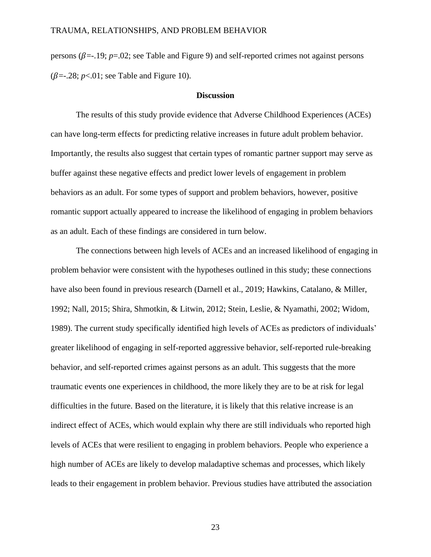persons ( $\beta$ =-.19; *p*=.02; see Table and Figure 9) and self-reported crimes not against persons  $(\beta = .28; p < .01;$  see Table and Figure 10).

#### **Discussion**

The results of this study provide evidence that Adverse Childhood Experiences (ACEs) can have long-term effects for predicting relative increases in future adult problem behavior. Importantly, the results also suggest that certain types of romantic partner support may serve as buffer against these negative effects and predict lower levels of engagement in problem behaviors as an adult. For some types of support and problem behaviors, however, positive romantic support actually appeared to increase the likelihood of engaging in problem behaviors as an adult. Each of these findings are considered in turn below.

The connections between high levels of ACEs and an increased likelihood of engaging in problem behavior were consistent with the hypotheses outlined in this study; these connections have also been found in previous research (Darnell et al., 2019; Hawkins, Catalano, & Miller, 1992; Nall, 2015; Shira, Shmotkin, & Litwin, 2012; Stein, Leslie, & Nyamathi, 2002; Widom, 1989). The current study specifically identified high levels of ACEs as predictors of individuals' greater likelihood of engaging in self-reported aggressive behavior, self-reported rule-breaking behavior, and self-reported crimes against persons as an adult. This suggests that the more traumatic events one experiences in childhood, the more likely they are to be at risk for legal difficulties in the future. Based on the literature, it is likely that this relative increase is an indirect effect of ACEs, which would explain why there are still individuals who reported high levels of ACEs that were resilient to engaging in problem behaviors. People who experience a high number of ACEs are likely to develop maladaptive schemas and processes, which likely leads to their engagement in problem behavior. Previous studies have attributed the association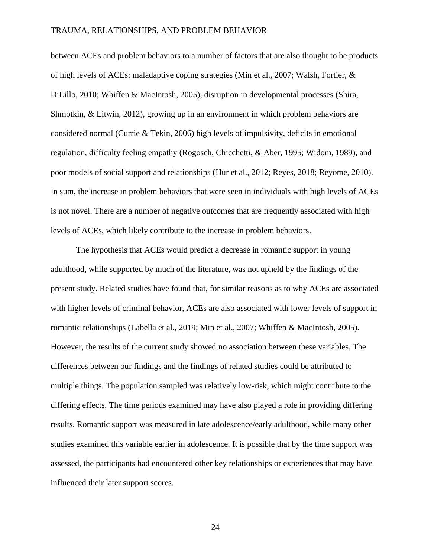between ACEs and problem behaviors to a number of factors that are also thought to be products of high levels of ACEs: maladaptive coping strategies (Min et al., 2007; Walsh, Fortier, & DiLillo, 2010; Whiffen & MacIntosh, 2005), disruption in developmental processes (Shira, Shmotkin, & Litwin, 2012), growing up in an environment in which problem behaviors are considered normal (Currie & Tekin, 2006) high levels of impulsivity, deficits in emotional regulation, difficulty feeling empathy (Rogosch, Chicchetti, & Aber, 1995; Widom, 1989), and poor models of social support and relationships (Hur et al., 2012; Reyes, 2018; Reyome, 2010). In sum, the increase in problem behaviors that were seen in individuals with high levels of ACEs is not novel. There are a number of negative outcomes that are frequently associated with high levels of ACEs, which likely contribute to the increase in problem behaviors.

The hypothesis that ACEs would predict a decrease in romantic support in young adulthood, while supported by much of the literature, was not upheld by the findings of the present study. Related studies have found that, for similar reasons as to why ACEs are associated with higher levels of criminal behavior, ACEs are also associated with lower levels of support in romantic relationships (Labella et al., 2019; Min et al., 2007; Whiffen & MacIntosh, 2005). However, the results of the current study showed no association between these variables. The differences between our findings and the findings of related studies could be attributed to multiple things. The population sampled was relatively low-risk, which might contribute to the differing effects. The time periods examined may have also played a role in providing differing results. Romantic support was measured in late adolescence/early adulthood, while many other studies examined this variable earlier in adolescence. It is possible that by the time support was assessed, the participants had encountered other key relationships or experiences that may have influenced their later support scores.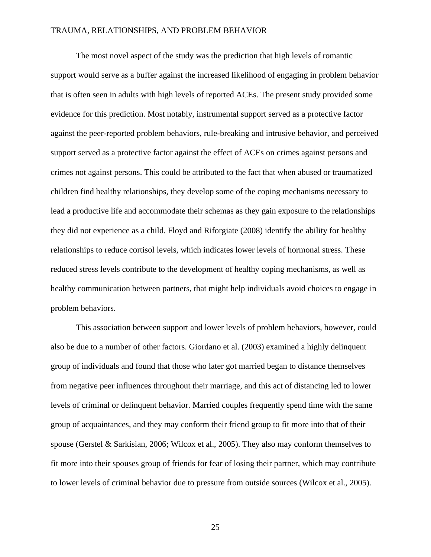The most novel aspect of the study was the prediction that high levels of romantic support would serve as a buffer against the increased likelihood of engaging in problem behavior that is often seen in adults with high levels of reported ACEs. The present study provided some evidence for this prediction. Most notably, instrumental support served as a protective factor against the peer-reported problem behaviors, rule-breaking and intrusive behavior, and perceived support served as a protective factor against the effect of ACEs on crimes against persons and crimes not against persons. This could be attributed to the fact that when abused or traumatized children find healthy relationships, they develop some of the coping mechanisms necessary to lead a productive life and accommodate their schemas as they gain exposure to the relationships they did not experience as a child. Floyd and Riforgiate (2008) identify the ability for healthy relationships to reduce cortisol levels, which indicates lower levels of hormonal stress. These reduced stress levels contribute to the development of healthy coping mechanisms, as well as healthy communication between partners, that might help individuals avoid choices to engage in problem behaviors.

This association between support and lower levels of problem behaviors, however, could also be due to a number of other factors. Giordano et al. (2003) examined a highly delinquent group of individuals and found that those who later got married began to distance themselves from negative peer influences throughout their marriage, and this act of distancing led to lower levels of criminal or delinquent behavior. Married couples frequently spend time with the same group of acquaintances, and they may conform their friend group to fit more into that of their spouse (Gerstel & Sarkisian, 2006; Wilcox et al., 2005). They also may conform themselves to fit more into their spouses group of friends for fear of losing their partner, which may contribute to lower levels of criminal behavior due to pressure from outside sources (Wilcox et al., 2005).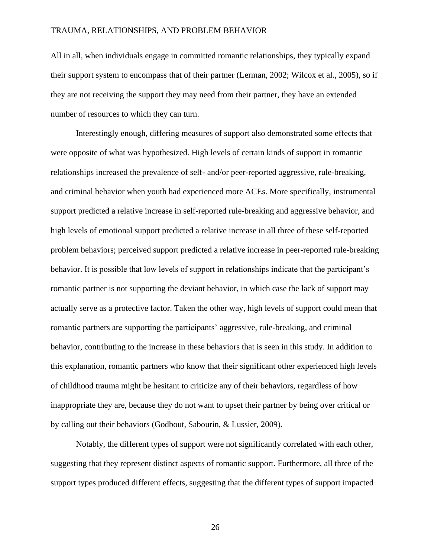All in all, when individuals engage in committed romantic relationships, they typically expand their support system to encompass that of their partner (Lerman, 2002; Wilcox et al., 2005), so if they are not receiving the support they may need from their partner, they have an extended number of resources to which they can turn.

Interestingly enough, differing measures of support also demonstrated some effects that were opposite of what was hypothesized. High levels of certain kinds of support in romantic relationships increased the prevalence of self- and/or peer-reported aggressive, rule-breaking, and criminal behavior when youth had experienced more ACEs. More specifically, instrumental support predicted a relative increase in self-reported rule-breaking and aggressive behavior, and high levels of emotional support predicted a relative increase in all three of these self-reported problem behaviors; perceived support predicted a relative increase in peer-reported rule-breaking behavior. It is possible that low levels of support in relationships indicate that the participant's romantic partner is not supporting the deviant behavior, in which case the lack of support may actually serve as a protective factor. Taken the other way, high levels of support could mean that romantic partners are supporting the participants' aggressive, rule-breaking, and criminal behavior, contributing to the increase in these behaviors that is seen in this study. In addition to this explanation, romantic partners who know that their significant other experienced high levels of childhood trauma might be hesitant to criticize any of their behaviors, regardless of how inappropriate they are, because they do not want to upset their partner by being over critical or by calling out their behaviors (Godbout, Sabourin, & Lussier, 2009).

Notably, the different types of support were not significantly correlated with each other, suggesting that they represent distinct aspects of romantic support. Furthermore, all three of the support types produced different effects, suggesting that the different types of support impacted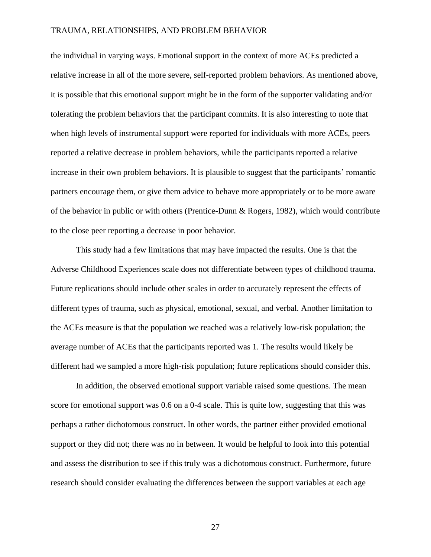the individual in varying ways. Emotional support in the context of more ACEs predicted a relative increase in all of the more severe, self-reported problem behaviors. As mentioned above, it is possible that this emotional support might be in the form of the supporter validating and/or tolerating the problem behaviors that the participant commits. It is also interesting to note that when high levels of instrumental support were reported for individuals with more ACEs, peers reported a relative decrease in problem behaviors, while the participants reported a relative increase in their own problem behaviors. It is plausible to suggest that the participants' romantic partners encourage them, or give them advice to behave more appropriately or to be more aware of the behavior in public or with others (Prentice-Dunn & Rogers, 1982), which would contribute to the close peer reporting a decrease in poor behavior.

This study had a few limitations that may have impacted the results. One is that the Adverse Childhood Experiences scale does not differentiate between types of childhood trauma. Future replications should include other scales in order to accurately represent the effects of different types of trauma, such as physical, emotional, sexual, and verbal. Another limitation to the ACEs measure is that the population we reached was a relatively low-risk population; the average number of ACEs that the participants reported was 1. The results would likely be different had we sampled a more high-risk population; future replications should consider this.

In addition, the observed emotional support variable raised some questions. The mean score for emotional support was 0.6 on a 0-4 scale. This is quite low, suggesting that this was perhaps a rather dichotomous construct. In other words, the partner either provided emotional support or they did not; there was no in between. It would be helpful to look into this potential and assess the distribution to see if this truly was a dichotomous construct. Furthermore, future research should consider evaluating the differences between the support variables at each age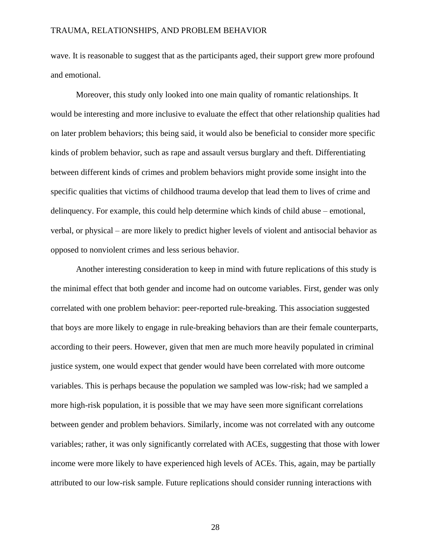wave. It is reasonable to suggest that as the participants aged, their support grew more profound and emotional.

Moreover, this study only looked into one main quality of romantic relationships. It would be interesting and more inclusive to evaluate the effect that other relationship qualities had on later problem behaviors; this being said, it would also be beneficial to consider more specific kinds of problem behavior, such as rape and assault versus burglary and theft. Differentiating between different kinds of crimes and problem behaviors might provide some insight into the specific qualities that victims of childhood trauma develop that lead them to lives of crime and delinquency. For example, this could help determine which kinds of child abuse – emotional, verbal, or physical – are more likely to predict higher levels of violent and antisocial behavior as opposed to nonviolent crimes and less serious behavior.

Another interesting consideration to keep in mind with future replications of this study is the minimal effect that both gender and income had on outcome variables. First, gender was only correlated with one problem behavior: peer-reported rule-breaking. This association suggested that boys are more likely to engage in rule-breaking behaviors than are their female counterparts, according to their peers. However, given that men are much more heavily populated in criminal justice system, one would expect that gender would have been correlated with more outcome variables. This is perhaps because the population we sampled was low-risk; had we sampled a more high-risk population, it is possible that we may have seen more significant correlations between gender and problem behaviors. Similarly, income was not correlated with any outcome variables; rather, it was only significantly correlated with ACEs, suggesting that those with lower income were more likely to have experienced high levels of ACEs. This, again, may be partially attributed to our low-risk sample. Future replications should consider running interactions with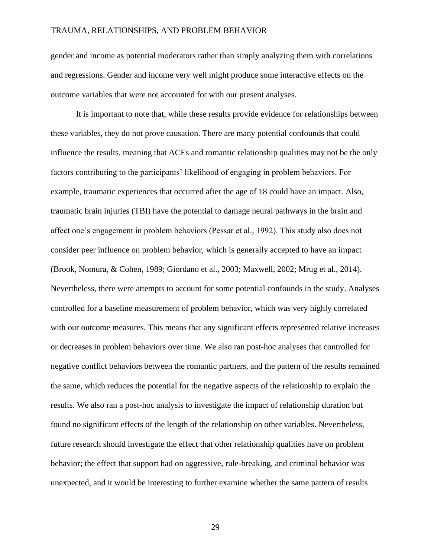gender and income as potential moderators rather than simply analyzing them with correlations and regressions. Gender and income very well might produce some interactive effects on the outcome variables that were not accounted for with our present analyses.

It is important to note that, while these results provide evidence for relationships between these variables, they do not prove causation. There are many potential confounds that could influence the results, meaning that ACEs and romantic relationship qualities may not be the only factors contributing to the participants' likelihood of engaging in problem behaviors. For example, traumatic experiences that occurred after the age of 18 could have an impact. Also, traumatic brain injuries (TBI) have the potential to damage neural pathways in the brain and affect one's engagement in problem behaviors (Pessar et al., 1992). This study also does not consider peer influence on problem behavior, which is generally accepted to have an impact (Brook, Nomura, & Cohen, 1989; Giordano et al., 2003; Maxwell, 2002; Mrug et al., 2014). Nevertheless, there were attempts to account for some potential confounds in the study. Analyses controlled for a baseline measurement of problem behavior, which was very highly correlated with our outcome measures. This means that any significant effects represented relative increases or decreases in problem behaviors over time. We also ran post-hoc analyses that controlled for negative conflict behaviors between the romantic partners, and the pattern of the results remained the same, which reduces the potential for the negative aspects of the relationship to explain the results. We also ran a post-hoc analysis to investigate the impact of relationship duration but found no significant effects of the length of the relationship on other variables. Nevertheless, future research should investigate the effect that other relationship qualities have on problem behavior; the effect that support had on aggressive, rule-breaking, and criminal behavior was unexpected, and it would be interesting to further examine whether the same pattern of results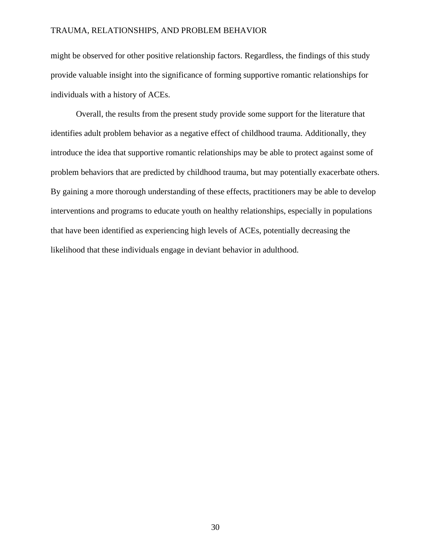might be observed for other positive relationship factors. Regardless, the findings of this study provide valuable insight into the significance of forming supportive romantic relationships for individuals with a history of ACEs.

Overall, the results from the present study provide some support for the literature that identifies adult problem behavior as a negative effect of childhood trauma. Additionally, they introduce the idea that supportive romantic relationships may be able to protect against some of problem behaviors that are predicted by childhood trauma, but may potentially exacerbate others. By gaining a more thorough understanding of these effects, practitioners may be able to develop interventions and programs to educate youth on healthy relationships, especially in populations that have been identified as experiencing high levels of ACEs, potentially decreasing the likelihood that these individuals engage in deviant behavior in adulthood.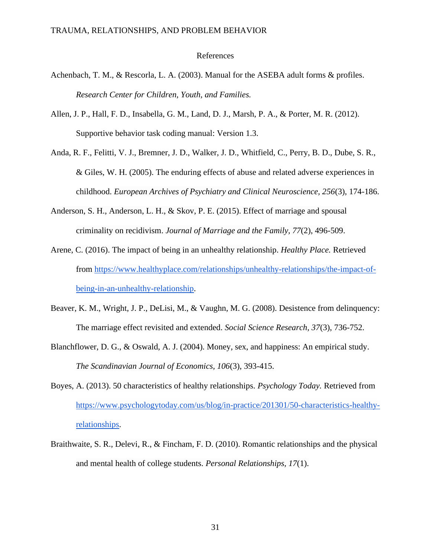#### References

- Achenbach, T. M., & Rescorla, L. A. (2003). Manual for the ASEBA adult forms & profiles. *Research Center for Children, Youth, and Families.*
- Allen, J. P., Hall, F. D., Insabella, G. M., Land, D. J., Marsh, P. A., & Porter, M. R. (2012). Supportive behavior task coding manual: Version 1.3.
- Anda, R. F., Felitti, V. J., Bremner, J. D., Walker, J. D., Whitfield, C., Perry, B. D., Dube, S. R., & Giles, W. H. (2005). The enduring effects of abuse and related adverse experiences in childhood. *European Archives of Psychiatry and Clinical Neuroscience, 256*(3), 174-186.
- Anderson, S. H., Anderson, L. H., & Skov, P. E. (2015). Effect of marriage and spousal criminality on recidivism. *Journal of Marriage and the Family, 77*(2), 496-509.
- Arene, C. (2016). The impact of being in an unhealthy relationship. *Healthy Place.* Retrieved from [https://www.healthyplace.com/relationships/unhealthy-relationships/the-impact-of](https://www.healthyplace.com/relationships/unhealthy-relationships/the-impact-of-being-in-an-unhealthy-relationship)[being-in-an-unhealthy-relationship.](https://www.healthyplace.com/relationships/unhealthy-relationships/the-impact-of-being-in-an-unhealthy-relationship)
- Beaver, K. M., Wright, J. P., DeLisi, M., & Vaughn, M. G. (2008). Desistence from delinquency: The marriage effect revisited and extended. *Social Science Research, 37*(3), 736-752.
- Blanchflower, D. G., & Oswald, A. J. (2004). Money, sex, and happiness: An empirical study. *The Scandinavian Journal of Economics, 106*(3), 393-415.
- Boyes, A. (2013). 50 characteristics of healthy relationships. *Psychology Today.* Retrieved from [https://www.psychologytoday.com/us/blog/in-practice/201301/50-characteristics-healthy](https://www.psychologytoday.com/us/blog/in-practice/201301/50-characteristics-healthy-relationships)[relationships.](https://www.psychologytoday.com/us/blog/in-practice/201301/50-characteristics-healthy-relationships)
- Braithwaite, S. R., Delevi, R., & Fincham, F. D. (2010). Romantic relationships and the physical and mental health of college students. *Personal Relationships, 17*(1).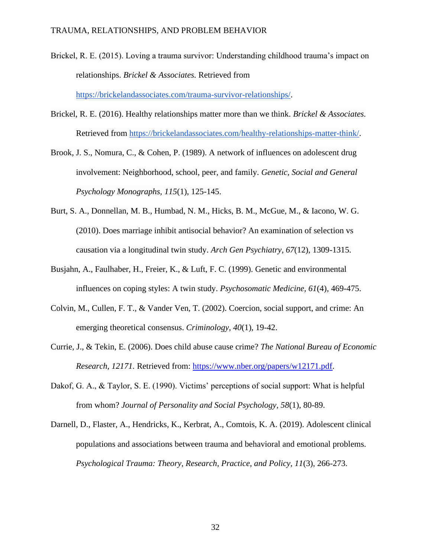Brickel, R. E. (2015). Loving a trauma survivor: Understanding childhood trauma's impact on relationships. *Brickel & Associates.* Retrieved from

[https://brickelandassociates.com/trauma-survivor-relationships/.](https://brickelandassociates.com/trauma-survivor-relationships/)

- Brickel, R. E. (2016). Healthy relationships matter more than we think. *Brickel & Associates.*  Retrieved from [https://brickelandassociates.com/healthy-relationships-matter-think/.](https://brickelandassociates.com/healthy-relationships-matter-think/)
- Brook, J. S., Nomura, C., & Cohen, P. (1989). A network of influences on adolescent drug involvement: Neighborhood, school, peer, and family. *Genetic, Social and General Psychology Monographs, 115*(1), 125-145.
- Burt, S. A., Donnellan, M. B., Humbad, N. M., Hicks, B. M., McGue, M., & Iacono, W. G. (2010). Does marriage inhibit antisocial behavior? An examination of selection vs causation via a longitudinal twin study. *Arch Gen Psychiatry, 67*(12), 1309-1315.
- Busjahn, A., Faulhaber, H., Freier, K., & Luft, F. C. (1999). Genetic and environmental influences on coping styles: A twin study. *Psychosomatic Medicine, 61*(4), 469-475.
- Colvin, M., Cullen, F. T., & Vander Ven, T. (2002). Coercion, social support, and crime: An emerging theoretical consensus. *Criminology, 40*(1), 19-42.
- Currie, J., & Tekin, E. (2006). Does child abuse cause crime? *The National Bureau of Economic Research, 12171.* Retrieved from: [https://www.nber.org/papers/w12171.pdf.](https://www.nber.org/papers/w12171.pdf)
- Dakof, G. A., & Taylor, S. E. (1990). Victims' perceptions of social support: What is helpful from whom? *Journal of Personality and Social Psychology, 58*(1), 80-89.
- Darnell, D., Flaster, A., Hendricks, K., Kerbrat, A., Comtois, K. A. (2019). Adolescent clinical populations and associations between trauma and behavioral and emotional problems. *Psychological Trauma: Theory, Research, Practice, and Policy, 11*(3), 266-273.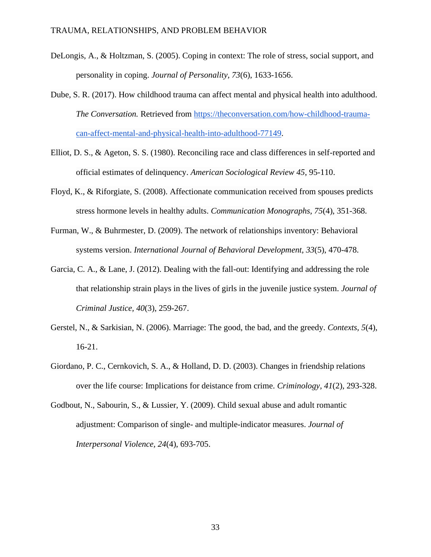- DeLongis, A., & Holtzman, S. (2005). Coping in context: The role of stress, social support, and personality in coping. *Journal of Personality, 73*(6), 1633-1656.
- Dube, S. R. (2017). How childhood trauma can affect mental and physical health into adulthood. *The Conversation.* Retrieved from [https://theconversation.com/how-childhood-trauma](https://theconversation.com/how-childhood-trauma-can-affect-mental-and-physical-health-into-adulthood-77149)[can-affect-mental-and-physical-health-into-adulthood-77149.](https://theconversation.com/how-childhood-trauma-can-affect-mental-and-physical-health-into-adulthood-77149)
- Elliot, D. S., & Ageton, S. S. (1980). Reconciling race and class differences in self-reported and official estimates of delinquency. *American Sociological Review 45*, 95-110.
- Floyd, K., & Riforgiate, S. (2008). Affectionate communication received from spouses predicts stress hormone levels in healthy adults. *Communication Monographs, 75*(4), 351-368.
- Furman, W., & Buhrmester, D. (2009). The network of relationships inventory: Behavioral systems version. *International Journal of Behavioral Development, 33*(5), 470-478.
- Garcia, C. A., & Lane, J. (2012). Dealing with the fall-out: Identifying and addressing the role that relationship strain plays in the lives of girls in the juvenile justice system. *Journal of Criminal Justice, 40*(3), 259-267.
- Gerstel, N., & Sarkisian, N. (2006). Marriage: The good, the bad, and the greedy. *Contexts, 5*(4), 16-21.
- Giordano, P. C., Cernkovich, S. A., & Holland, D. D. (2003). Changes in friendship relations over the life course: Implications for deistance from crime. *Criminology, 41*(2), 293-328.
- Godbout, N., Sabourin, S., & Lussier, Y. (2009). Child sexual abuse and adult romantic adjustment: Comparison of single- and multiple-indicator measures. *Journal of Interpersonal Violence, 24*(4), 693-705.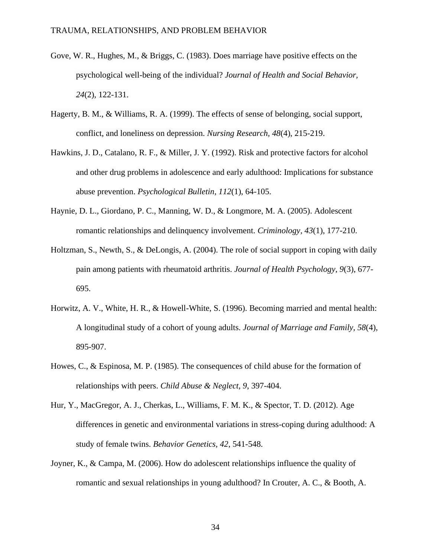- Gove, W. R., Hughes, M., & Briggs, C. (1983). Does marriage have positive effects on the psychological well-being of the individual? *Journal of Health and Social Behavior, 24*(2), 122-131.
- Hagerty, B. M., & Williams, R. A. (1999). The effects of sense of belonging, social support, conflict, and loneliness on depression. *Nursing Research, 48*(4), 215-219.
- Hawkins, J. D., Catalano, R. F., & Miller, J. Y. (1992). Risk and protective factors for alcohol and other drug problems in adolescence and early adulthood: Implications for substance abuse prevention. *Psychological Bulletin, 112*(1), 64-105.
- Haynie, D. L., Giordano, P. C., Manning, W. D., & Longmore, M. A. (2005). Adolescent romantic relationships and delinquency involvement. *Criminology, 43*(1), 177-210.
- Holtzman, S., Newth, S., & DeLongis, A. (2004). The role of social support in coping with daily pain among patients with rheumatoid arthritis. *Journal of Health Psychology, 9*(3), 677- 695.
- Horwitz, A. V., White, H. R., & Howell-White, S. (1996). Becoming married and mental health: A longitudinal study of a cohort of young adults. *Journal of Marriage and Family, 58*(4), 895-907.
- Howes, C., & Espinosa, M. P. (1985). The consequences of child abuse for the formation of relationships with peers. *Child Abuse & Neglect, 9*, 397-404.
- Hur, Y., MacGregor, A. J., Cherkas, L., Williams, F. M. K., & Spector, T. D. (2012). Age differences in genetic and environmental variations in stress-coping during adulthood: A study of female twins. *Behavior Genetics, 42*, 541-548.
- Joyner, K., & Campa, M. (2006). How do adolescent relationships influence the quality of romantic and sexual relationships in young adulthood? In Crouter, A. C., & Booth, A.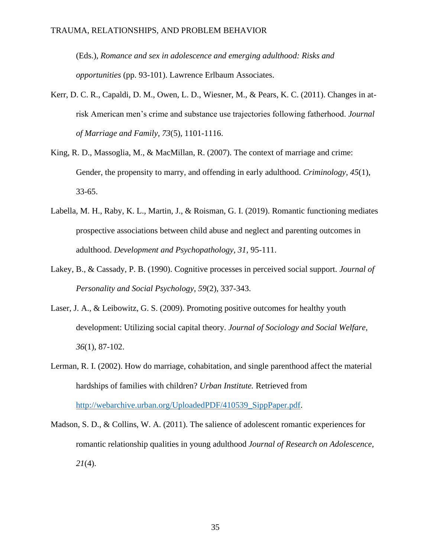(Eds.), *Romance and sex in adolescence and emerging adulthood: Risks and opportunities* (pp. 93-101). Lawrence Erlbaum Associates.

- Kerr, D. C. R., Capaldi, D. M., Owen, L. D., Wiesner, M., & Pears, K. C. (2011). Changes in atrisk American men's crime and substance use trajectories following fatherhood. *Journal of Marriage and Family, 73*(5), 1101-1116.
- King, R. D., Massoglia, M., & MacMillan, R. (2007). The context of marriage and crime: Gender, the propensity to marry, and offending in early adulthood. *Criminology, 45*(1), 33-65.
- Labella, M. H., Raby, K. L., Martin, J., & Roisman, G. I. (2019). Romantic functioning mediates prospective associations between child abuse and neglect and parenting outcomes in adulthood. *Development and Psychopathology, 31,* 95-111.
- Lakey, B., & Cassady, P. B. (1990). Cognitive processes in perceived social support. *Journal of Personality and Social Psychology, 59*(2), 337-343.
- Laser, J. A., & Leibowitz, G. S. (2009). Promoting positive outcomes for healthy youth development: Utilizing social capital theory. *Journal of Sociology and Social Welfare, 36*(1), 87-102.
- Lerman, R. I. (2002). How do marriage, cohabitation, and single parenthood affect the material hardships of families with children? *Urban Institute.* Retrieved from [http://webarchive.urban.org/UploadedPDF/410539\\_SippPaper.pdf.](http://webarchive.urban.org/UploadedPDF/410539_SippPaper.pdf)
- Madson, S. D., & Collins, W. A. (2011). The salience of adolescent romantic experiences for romantic relationship qualities in young adulthood *Journal of Research on Adolescence, 21*(4).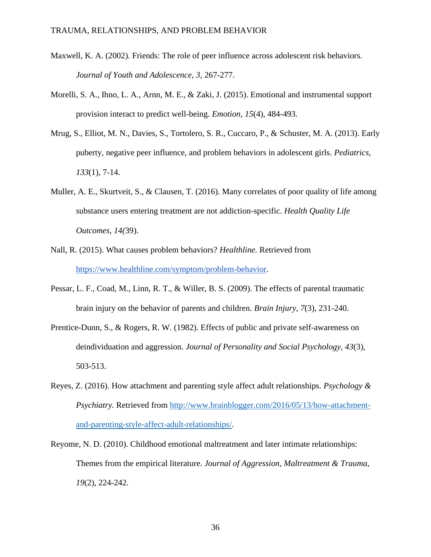- Maxwell, K. A. (2002). Friends: The role of peer influence across adolescent risk behaviors. *Journal of Youth and Adolescence, 3,* 267-277.
- Morelli, S. A., Ihno, L. A., Arnn, M. E., & Zaki, J. (2015). Emotional and instrumental support provision interact to predict well-being. *Emotion, 15*(4), 484-493.
- Mrug, S., Elliot, M. N., Davies, S., Tortolero, S. R., Cuccaro, P., & Schuster, M. A. (2013). Early puberty, negative peer influence, and problem behaviors in adolescent girls. *Pediatrics, 133*(1), 7-14.
- Muller, A. E., Skurtveit, S., & Clausen, T. (2016). Many correlates of poor quality of life among substance users entering treatment are not addiction-specific. *Health Quality Life Outcomes, 14(*39).
- Nall, R. (2015). What causes problem behaviors? *Healthline.* Retrieved from [https://www.healthline.com/symptom/problem-behavior.](https://www.healthline.com/symptom/problem-behavior)
- Pessar, L. F., Coad, M., Linn, R. T., & Willer, B. S. (2009). The effects of parental traumatic brain injury on the behavior of parents and children. *Brain Injury, 7*(3), 231-240.
- Prentice-Dunn, S., & Rogers, R. W. (1982). Effects of public and private self-awareness on deindividuation and aggression. *Journal of Personality and Social Psychology, 43*(3), 503-513.
- Reyes, Z. (2016). How attachment and parenting style affect adult relationships. *Psychology & Psychiatry.* Retrieved from [http://www.brainblogger.com/2016/05/13/how-attachment](http://www.brainblogger.com/2016/05/13/how-attachment-and-parenting-style-affect-adult-relationships/)[and-parenting-style-affect-adult-relationships/.](http://www.brainblogger.com/2016/05/13/how-attachment-and-parenting-style-affect-adult-relationships/)
- Reyome, N. D. (2010). Childhood emotional maltreatment and later intimate relationships: Themes from the empirical literature. *Journal of Aggression, Maltreatment & Trauma, 19*(2), 224-242.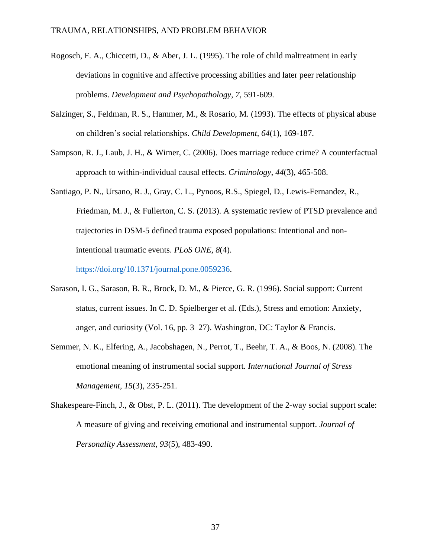- Rogosch, F. A., Chiccetti, D., & Aber, J. L. (1995). The role of child maltreatment in early deviations in cognitive and affective processing abilities and later peer relationship problems. *Development and Psychopathology, 7,* 591-609.
- Salzinger, S., Feldman, R. S., Hammer, M., & Rosario, M. (1993). The effects of physical abuse on children's social relationships. *Child Development, 64*(1), 169-187.
- Sampson, R. J., Laub, J. H., & Wimer, C. (2006). Does marriage reduce crime? A counterfactual approach to within-individual causal effects. *Criminology, 44*(3), 465-508.
- Santiago, P. N., Ursano, R. J., Gray, C. L., Pynoos, R.S., Spiegel, D., Lewis-Fernandez, R., Friedman, M. J., & Fullerton, C. S. (2013). A systematic review of PTSD prevalence and trajectories in DSM-5 defined trauma exposed populations: Intentional and nonintentional traumatic events. *PLoS ONE, 8*(4).

[https://doi.org/10.1371/journal.pone.0059236.](https://doi.org/10.1371/journal.pone.0059236)

- Sarason, I. G., Sarason, B. R., Brock, D. M., & Pierce, G. R. (1996). Social support: Current status, current issues. In C. D. Spielberger et al. (Eds.), Stress and emotion: Anxiety, anger, and curiosity (Vol. 16, pp. 3–27). Washington, DC: Taylor & Francis.
- Semmer, N. K., Elfering, A., Jacobshagen, N., Perrot, T., Beehr, T. A., & Boos, N. (2008). The emotional meaning of instrumental social support. *International Journal of Stress Management, 15*(3), 235-251.
- Shakespeare-Finch, J., & Obst, P. L. (2011). The development of the 2-way social support scale: A measure of giving and receiving emotional and instrumental support. *Journal of Personality Assessment, 93*(5), 483-490.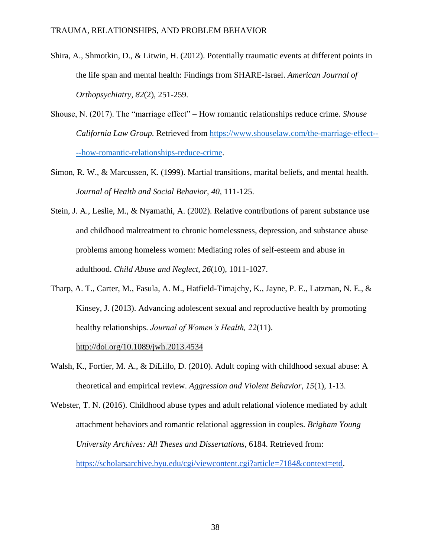- Shira, A., Shmotkin, D., & Litwin, H. (2012). Potentially traumatic events at different points in the life span and mental health: Findings from SHARE-Israel. *American Journal of Orthopsychiatry, 82*(2), 251-259.
- Shouse, N. (2017). The "marriage effect" How romantic relationships reduce crime. *Shouse California Law Group.* Retrieved from [https://www.shouselaw.com/the-marriage-effect--](https://www.shouselaw.com/the-marriage-effect----how-romantic-relationships-reduce-crime) [--how-romantic-relationships-reduce-crime.](https://www.shouselaw.com/the-marriage-effect----how-romantic-relationships-reduce-crime)
- Simon, R. W., & Marcussen, K. (1999). Martial transitions, marital beliefs, and mental health. *Journal of Health and Social Behavior, 40,* 111-125.
- Stein, J. A., Leslie, M., & Nyamathi, A. (2002). Relative contributions of parent substance use and childhood maltreatment to chronic homelessness, depression, and substance abuse problems among homeless women: Mediating roles of self-esteem and abuse in adulthood. *Child Abuse and Neglect, 26*(10), 1011-1027.
- Tharp, A. T., Carter, M., Fasula, A. M., Hatfield-Timajchy, K., Jayne, P. E., Latzman, N. E., & Kinsey, J. (2013). Advancing adolescent sexual and reproductive health by promoting healthy relationships. *Journal of Women's Health, 22*(11).

[http://doi.org/10.1089/jwh.2013.4534](https://doi.org/10.1089/jwh.2013.4534)

- Walsh, K., Fortier, M. A., & DiLillo, D. (2010). Adult coping with childhood sexual abuse: A theoretical and empirical review. *Aggression and Violent Behavior, 15*(1), 1-13.
- Webster, T. N. (2016). Childhood abuse types and adult relational violence mediated by adult attachment behaviors and romantic relational aggression in couples. *Brigham Young University Archives: All Theses and Dissertations,* 6184. Retrieved from: [https://scholarsarchive.byu.edu/cgi/viewcontent.cgi?article=7184&context=etd.](https://scholarsarchive.byu.edu/cgi/viewcontent.cgi?article=7184&context=etd)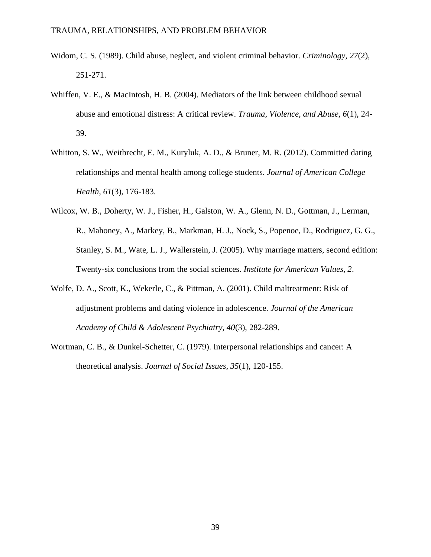- Widom, C. S. (1989). Child abuse, neglect, and violent criminal behavior. *Criminology, 27*(2), 251-271.
- Whiffen, V. E., & MacIntosh, H. B. (2004). Mediators of the link between childhood sexual abuse and emotional distress: A critical review. *Trauma, Violence, and Abuse, 6*(1), 24- 39.
- Whitton, S. W., Weitbrecht, E. M., Kuryluk, A. D., & Bruner, M. R. (2012). Committed dating relationships and mental health among college students. *Journal of American College Health, 61*(3), 176-183.
- Wilcox, W. B., Doherty, W. J., Fisher, H., Galston, W. A., Glenn, N. D., Gottman, J., Lerman, R., Mahoney, A., Markey, B., Markman, H. J., Nock, S., Popenoe, D., Rodriguez, G. G., Stanley, S. M., Wate, L. J., Wallerstein, J. (2005). Why marriage matters, second edition: Twenty-six conclusions from the social sciences. *Institute for American Values, 2*.
- Wolfe, D. A., Scott, K., Wekerle, C., & Pittman, A. (2001). Child maltreatment: Risk of adjustment problems and dating violence in adolescence. *Journal of the American Academy of Child & Adolescent Psychiatry, 40*(3), 282-289.
- Wortman, C. B., & Dunkel-Schetter, C. (1979). Interpersonal relationships and cancer: A theoretical analysis. *Journal of Social Issues, 35*(1), 120-155.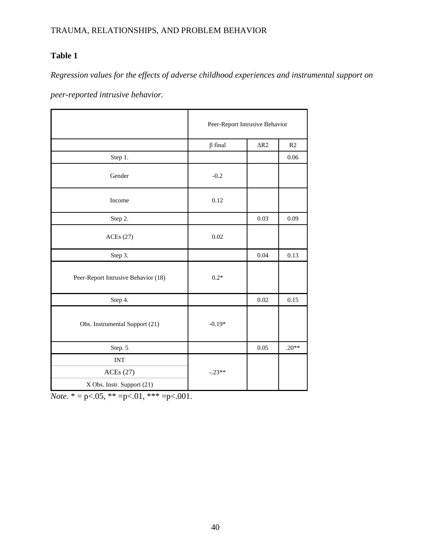## **Table 1**

*Regression values for the effects of adverse childhood experiences and instrumental support on* 

*peer-reported intrusive behavior.* 

|                                                      | Peer-Report Intrusive Behavior |             |         |
|------------------------------------------------------|--------------------------------|-------------|---------|
|                                                      | $\beta$ final                  | $\Delta R2$ | R2      |
| Step 1.                                              |                                |             | 0.06    |
| Gender                                               | $-0.2$                         |             |         |
| Income                                               | 0.12                           |             |         |
| Step 2.                                              |                                | 0.03        | 0.09    |
| ACEs(27)                                             | 0.02                           |             |         |
| Step 3.                                              |                                | 0.04        | 0.13    |
| Peer-Report Intrusive Behavior (18)                  | $0.2*$                         |             |         |
| Step 4.                                              |                                | $0.02\,$    | 0.15    |
| Obs. Instrumental Support (21)                       | $-0.19*$                       |             |         |
| Step. 5                                              |                                | 0.05        | $.20**$ |
| <b>INT</b><br>ACEs(27)<br>X Obs. Instr. Support (21) | $-.23**$                       |             |         |

*Note.*  $* = p < .05$ ,  $** = p < .01$ ,  $** = p < .001$ .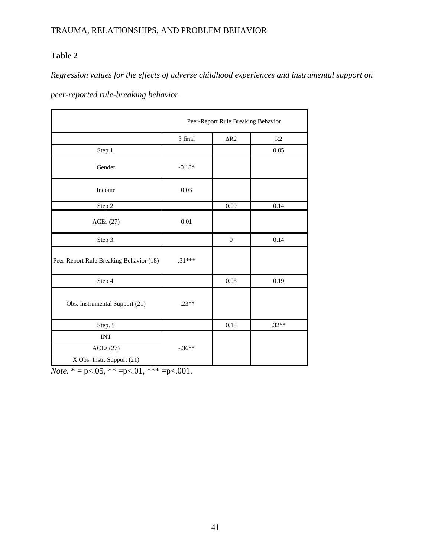## **Table 2**

*Regression values for the effects of adverse childhood experiences and instrumental support on* 

*peer-reported rule-breaking behavior.* 

|                                         | Peer-Report Rule Breaking Behavior |                    |         |
|-----------------------------------------|------------------------------------|--------------------|---------|
|                                         | $\beta$ final                      | $\Delta \text{R2}$ | R2      |
| Step 1.                                 |                                    |                    | 0.05    |
| Gender                                  | $-0.18*$                           |                    |         |
| Income                                  | 0.03                               |                    |         |
| Step 2.                                 |                                    | 0.09               | 0.14    |
| ACEs(27)                                | 0.01                               |                    |         |
| Step 3.                                 |                                    | $\boldsymbol{0}$   | 0.14    |
| Peer-Report Rule Breaking Behavior (18) | $.31***$                           |                    |         |
| Step 4.                                 |                                    | 0.05               | 0.19    |
| Obs. Instrumental Support (21)          | $-.23**$                           |                    |         |
| Step. 5                                 |                                    | 0.13               | $.32**$ |
| <b>INT</b><br>ACEs(27)                  | $-.36**$                           |                    |         |
| X Obs. Instr. Support (21)              |                                    |                    |         |

*Note.*  $* = p < .05$ ,  $** = p < .01$ ,  $** = p < .001$ .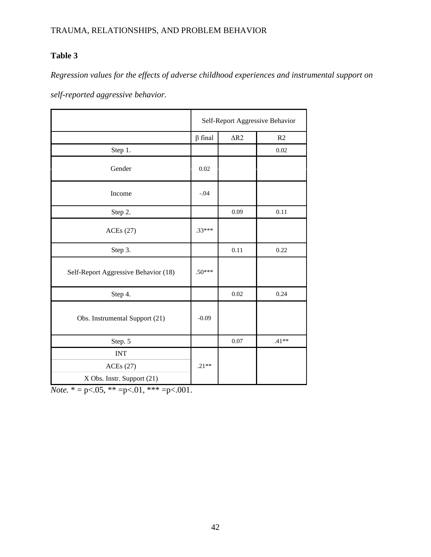## **Table 3**

*Regression values for the effects of adverse childhood experiences and instrumental support on* 

*self-reported aggressive behavior.* 

|                                      | Self-Report Aggressive Behavior |             |         |
|--------------------------------------|---------------------------------|-------------|---------|
|                                      | $\beta$ final                   | $\Delta R2$ | R2      |
| Step 1.                              |                                 |             | 0.02    |
| Gender                               | 0.02                            |             |         |
| Income                               | $-.04$                          |             |         |
| Step 2.                              |                                 | 0.09        | 0.11    |
| ACEs(27)                             | $.33***$                        |             |         |
| Step 3.                              |                                 | 0.11        | 0.22    |
| Self-Report Aggressive Behavior (18) | $.50***$                        |             |         |
| Step 4.                              |                                 | 0.02        | 0.24    |
| Obs. Instrumental Support (21)       | $-0.09$                         |             |         |
| Step. 5                              |                                 | 0.07        | $.41**$ |
| <b>INT</b>                           |                                 |             |         |
| ACEs(27)                             | $.21**$                         |             |         |
| X Obs. Instr. Support (21)           |                                 |             |         |

*Note.*  $* = p < .05$ ,  $** = p < .01$ ,  $*** = p < .001$ .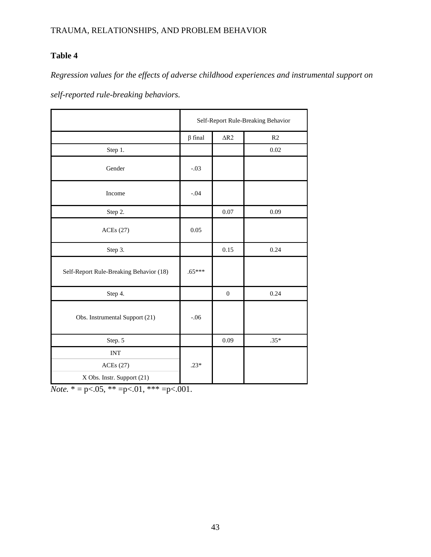## **Table 4**

*Regression values for the effects of adverse childhood experiences and instrumental support on* 

*self-reported rule-breaking behaviors.*

|                                         | Self-Report Rule-Breaking Behavior |                    |        |
|-----------------------------------------|------------------------------------|--------------------|--------|
|                                         | $\beta$ final                      | $\Delta \text{R2}$ | R2     |
| Step 1.                                 |                                    |                    | 0.02   |
| Gender                                  | $-.03$                             |                    |        |
| Income                                  | $-.04$                             |                    |        |
| Step 2.                                 |                                    | 0.07               | 0.09   |
| <b>ACEs</b> (27)                        | 0.05                               |                    |        |
| Step 3.                                 |                                    | 0.15               | 0.24   |
| Self-Report Rule-Breaking Behavior (18) | $.65***$                           |                    |        |
| Step 4.                                 |                                    | $\boldsymbol{0}$   | 0.24   |
| Obs. Instrumental Support (21)          | $-.06$                             |                    |        |
| Step. 5                                 |                                    | 0.09               | $.35*$ |
| $\ensuremath{\text{INT}}$               |                                    |                    |        |
| ACEs(27)                                | $.23*$                             |                    |        |
| X Obs. Instr. Support (21)              |                                    |                    |        |

*Note.*  $* = p < .05$ ,  $** = p < .01$ ,  $*** = p < .001$ .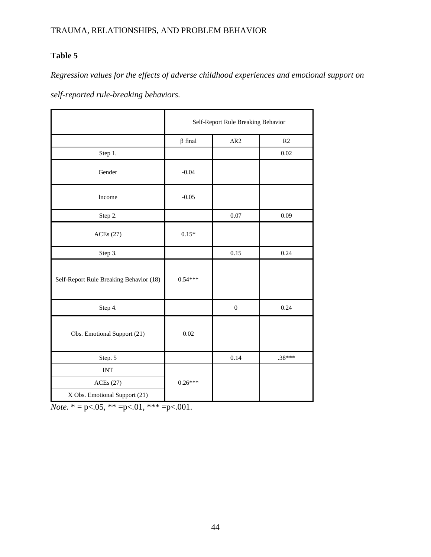## **Table 5**

*Regression values for the effects of adverse childhood experiences and emotional support on* 

*self-reported rule-breaking behaviors.*

|                                         | Self-Report Rule Breaking Behavior |                  |          |
|-----------------------------------------|------------------------------------|------------------|----------|
|                                         | $\beta$ final                      | $\Delta R2$      | R2       |
| Step 1.                                 |                                    |                  | 0.02     |
| Gender                                  | $-0.04$                            |                  |          |
| Income                                  | $-0.05$                            |                  |          |
| Step 2.                                 |                                    | 0.07             | 0.09     |
| <b>ACEs</b> (27)                        | $0.15*$                            |                  |          |
| Step 3.                                 |                                    | 0.15             | 0.24     |
| Self-Report Rule Breaking Behavior (18) | $0.54***$                          |                  |          |
| Step 4.                                 |                                    | $\boldsymbol{0}$ | 0.24     |
| Obs. Emotional Support (21)             | 0.02                               |                  |          |
| Step. 5                                 |                                    | 0.14             | $.38***$ |
| <b>INT</b>                              |                                    |                  |          |
| ACEs(27)                                | $0.26***$                          |                  |          |
| X Obs. Emotional Support (21)           |                                    |                  |          |

*Note.*  $* = p < .05$ ,  $** = p < .01$ ,  $** = p < .001$ .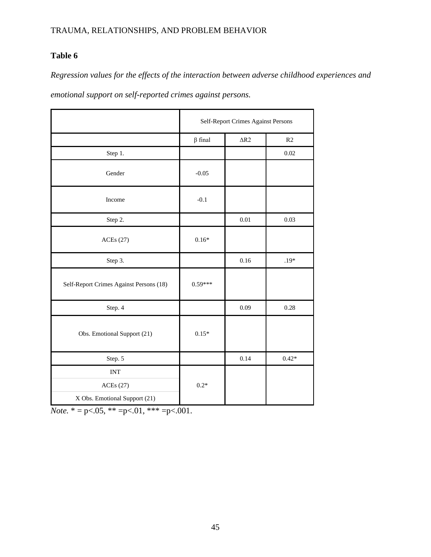## **Table 6**

*Regression values for the effects of the interaction between adverse childhood experiences and* 

*emotional support on self-reported crimes against persons.*

|                                         | Self-Report Crimes Against Persons |                    |         |
|-----------------------------------------|------------------------------------|--------------------|---------|
|                                         | $\beta$ final                      | $\Delta \text{R2}$ | R2      |
| Step 1.                                 |                                    |                    | 0.02    |
| Gender                                  | $-0.05$                            |                    |         |
| Income                                  | $-0.1$                             |                    |         |
| Step 2.                                 |                                    | $0.01\,$           | 0.03    |
| <b>ACEs</b> (27)                        | $0.16*$                            |                    |         |
| Step 3.                                 |                                    | 0.16               | $.19*$  |
| Self-Report Crimes Against Persons (18) | $0.59***$                          |                    |         |
| Step. 4                                 |                                    | 0.09               | 0.28    |
| Obs. Emotional Support (21)             | $0.15*$                            |                    |         |
| Step. 5                                 |                                    | 0.14               | $0.42*$ |
| <b>INT</b>                              |                                    |                    |         |
| <b>ACEs</b> (27)                        | $0.2*$                             |                    |         |
| X Obs. Emotional Support (21)           |                                    |                    |         |

*Note.*  $* = p < .05$ ,  $** = p < .01$ ,  $** = p < .001$ .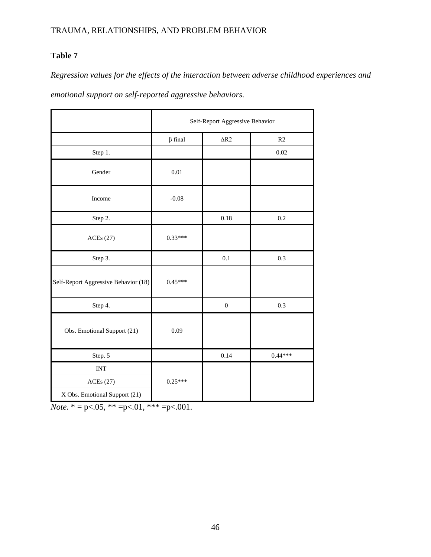## **Table 7**

*Regression values for the effects of the interaction between adverse childhood experiences and* 

*emotional support on self-reported aggressive behaviors.*

|                                      | Self-Report Aggressive Behavior |                  |                |  |
|--------------------------------------|---------------------------------|------------------|----------------|--|
|                                      | $\beta$ final                   | $\Delta R2$      | R <sub>2</sub> |  |
| Step 1.                              |                                 |                  | 0.02           |  |
| Gender                               | 0.01                            |                  |                |  |
| Income                               | $-0.08$                         |                  |                |  |
| Step 2.                              |                                 | 0.18             | 0.2            |  |
| <b>ACEs</b> (27)                     | $0.33***$                       |                  |                |  |
| Step 3.                              |                                 | 0.1              | 0.3            |  |
| Self-Report Aggressive Behavior (18) | $0.45***$                       |                  |                |  |
| Step 4.                              |                                 | $\boldsymbol{0}$ | 0.3            |  |
| Obs. Emotional Support (21)          | 0.09                            |                  |                |  |
| Step. 5                              |                                 | 0.14             | $0.44***$      |  |
| <b>INT</b>                           |                                 |                  |                |  |
| <b>ACEs</b> (27)                     | $0.25***$                       |                  |                |  |
| X Obs. Emotional Support (21)        |                                 |                  |                |  |

*Note.*  $* = p < .05$ ,  $** = p < .01$ ,  $*** = p < .001$ .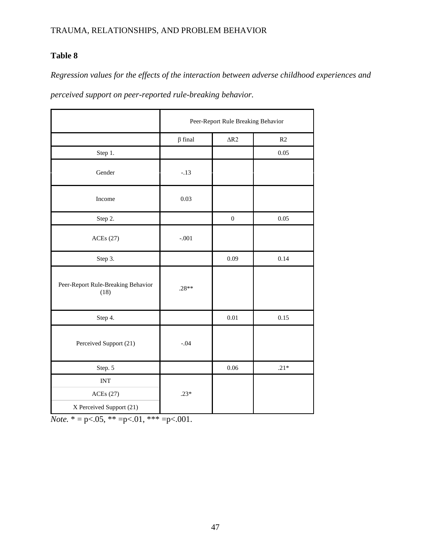## **Table 8**

*Regression values for the effects of the interaction between adverse childhood experiences and* 

*perceived support on peer-reported rule-breaking behavior.*

|                                            | Peer-Report Rule Breaking Behavior |                  |        |
|--------------------------------------------|------------------------------------|------------------|--------|
|                                            | $\beta$ final                      | $\Delta R2$      | R2     |
| Step 1.                                    |                                    |                  | 0.05   |
| Gender                                     | $-.13$                             |                  |        |
| Income                                     | 0.03                               |                  |        |
| Step 2.                                    |                                    | $\boldsymbol{0}$ | 0.05   |
| <b>ACEs</b> (27)                           | $-.001$                            |                  |        |
| Step 3.                                    |                                    | 0.09             | 0.14   |
| Peer-Report Rule-Breaking Behavior<br>(18) | $.28**$                            |                  |        |
| Step 4.                                    |                                    | $0.01\,$         | 0.15   |
| Perceived Support (21)                     | $-.04$                             |                  |        |
| Step. 5                                    |                                    | $0.06\,$         | $.21*$ |
| <b>INT</b>                                 |                                    |                  |        |
| <b>ACEs</b> (27)                           | $.23*$                             |                  |        |
| X Perceived Support (21)                   |                                    |                  |        |

*Note.*  $* = p < .05$ ,  $** = p < .01$ ,  $*** = p < .001$ .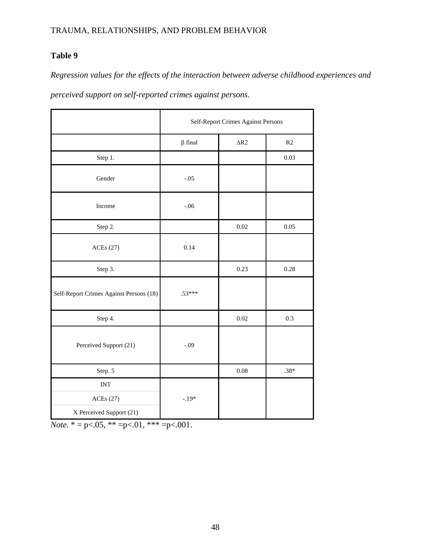### **Table 9**

*Regression values for the effects of the interaction between adverse childhood experiences and* 

*perceived support on self-reported crimes against persons.*

|                                         | Self-Report Crimes Against Persons |             |         |
|-----------------------------------------|------------------------------------|-------------|---------|
|                                         | $\beta$ final                      | $\Delta R2$ | R2      |
| Step 1.                                 |                                    |             | 0.03    |
| Gender                                  | $-.05$                             |             |         |
| Income                                  | $-.06$                             |             |         |
| Step 2.                                 |                                    | 0.02        | 0.05    |
| ACEs(27)                                | 0.14                               |             |         |
| Step 3.                                 |                                    | 0.23        | 0.28    |
| Self-Report Crimes Against Persons (18) | $.53***$                           |             |         |
| Step 4.                                 |                                    | $0.02\,$    | $0.3\,$ |
| Perceived Support (21)                  | $-.09$                             |             |         |
| Step. 5                                 |                                    | $0.08\,$    | $.38*$  |
| $\ensuremath{\text{INT}}$               |                                    |             |         |
| ACEs(27)                                | $-.19*$                            |             |         |
| X Perceived Support (21)                |                                    |             |         |

*Note.*  $* = p < .05$ ,  $** = p < .01$ ,  $** = p < .001$ .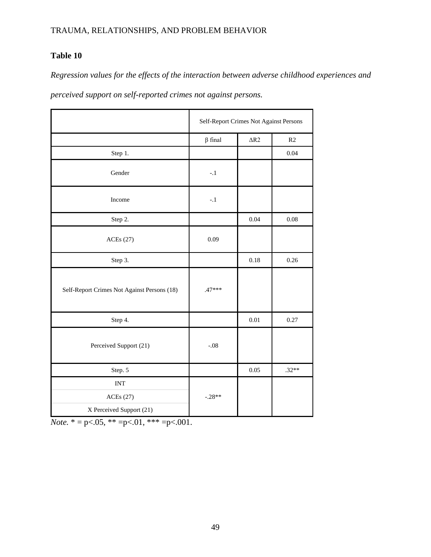## **Table 10**

*Regression values for the effects of the interaction between adverse childhood experiences and* 

*perceived support on self-reported crimes not against persons.*

|                                             | Self-Report Crimes Not Against Persons |                    |         |
|---------------------------------------------|----------------------------------------|--------------------|---------|
|                                             | $\beta$ final                          | $\Delta \text{R2}$ | R2      |
| Step 1.                                     |                                        |                    | 0.04    |
| Gender                                      | $-.1$                                  |                    |         |
| Income                                      | $-.1$                                  |                    |         |
| Step 2.                                     |                                        | 0.04               | 0.08    |
| <b>ACEs</b> (27)                            | 0.09                                   |                    |         |
| Step 3.                                     |                                        | 0.18               | 0.26    |
| Self-Report Crimes Not Against Persons (18) | $.47***$                               |                    |         |
| Step 4.                                     |                                        | $0.01\,$           | 0.27    |
| Perceived Support (21)                      | $-.08$                                 |                    |         |
| Step. 5                                     |                                        | 0.05               | $.32**$ |
| <b>INT</b>                                  |                                        |                    |         |
| <b>ACEs</b> (27)                            | $-.28**$                               |                    |         |
| X Perceived Support (21)                    |                                        |                    |         |

*Note.*  $* = p < .05$ ,  $** = p < .01$ ,  $*** = p < .001$ .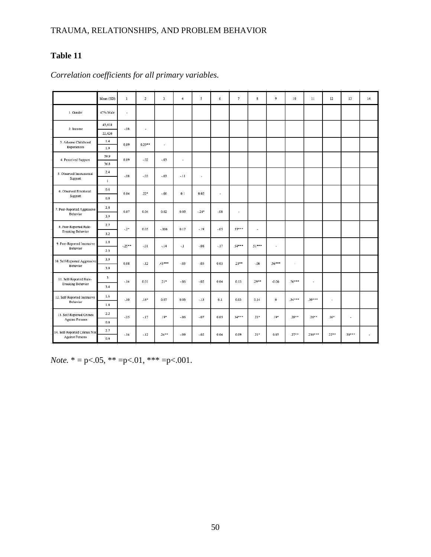## **Table 11**

|                                                        | Mean (SD)                      | $\mathbf{I}$ | $\overline{2}$           | 3        | $\overline{4}$       | 5 <sup>1</sup>        | 6                        | $\tau$   | $\bf8$   | 9                    | 10                       | $\mathbf{11}$            | $12 \,$        | 13                       | 14 |
|--------------------------------------------------------|--------------------------------|--------------|--------------------------|----------|----------------------|-----------------------|--------------------------|----------|----------|----------------------|--------------------------|--------------------------|----------------|--------------------------|----|
| 1. Gender                                              | 47% Male                       | $\cdot$      |                          |          |                      |                       |                          |          |          |                      |                          |                          |                |                          |    |
| 2. Income                                              | 43,618<br>22,420               | $-0.08$      | $\overline{\phantom{a}}$ |          |                      |                       |                          |          |          |                      |                          |                          |                |                          |    |
| 3. Adverse Childhood<br>Experiences                    | 1.4<br>1.9                     | 0.09         | $0.29**$                 | ٠        |                      |                       |                          |          |          |                      |                          |                          |                |                          |    |
| 4. Perceived Support                                   | 59.9<br>36.8                   | 0.09         | $-0.02$                  | $-.03$   | $\ddot{\phantom{0}}$ |                       |                          |          |          |                      |                          |                          |                |                          |    |
| 5. Observed Instrumental<br>Support                    | 2.4<br>$\mathbf{I}$            | $-.08$       | $-0.03$                  | $-.03$   | $-.11$               | $\tilde{\phantom{a}}$ |                          |          |          |                      |                          |                          |                |                          |    |
| 6. Observed Emotional<br>Support                       | 0.6<br>$0.8\,$                 | 0.04         | $.22*$                   | $-.06$   | 0.1                  | 0.02                  | $\overline{\phantom{a}}$ |          |          |                      |                          |                          |                |                          |    |
| 7. Peer-Reported Aggressive<br>Behavior                | $2.8$<br>3.9                   | 0.07         | 0.04                     | 0.02     | 0.05                 | $-24*$                | $-0.08$                  | $\cdot$  |          |                      |                          |                          |                |                          |    |
| 8. Peer-Reported Rule-<br><b>Breaking Behavior</b>     | 2.7<br>3.2                     | $-2*$        | 0.05                     | $-0.006$ | 0.17                 | $-.19$                | $-.05$                   | $.55***$ | ٠        |                      |                          |                          |                |                          |    |
| 9. Peer-Reported Instrusive<br>Behavior                | 1.8<br>2.3                     | $-25**$      | $-01$                    | $-.14$   | $-1$                 | $-.08$                | $-.17$                   | $.54***$ | $.51***$ | $\ddot{\phantom{a}}$ |                          |                          |                |                          |    |
| 10. Self-Reported Aggressive<br>Behavior               | 3.9<br>3.9                     | 0.08         | $-.12$                   | $45***$  | $-.03$               | $-.05$                | 0.03                     | $23**$   | $-.06$   | $.56***$             | $\overline{\phantom{a}}$ |                          |                |                          |    |
| 11. Self-Reported Rule-<br><b>Breaking Behavior</b>    | $\overline{\mathbf{3}}$<br>3.4 | $-.14$       | 0.01                     | $21^*$   | $-0.06$              | $-0.02$               | 0.04                     | 0.13     | $.29**$  | $-0.06$              | $.56***$                 | $\overline{\phantom{a}}$ |                |                          |    |
| 12. Self-Reported Instrusive<br>Behavior               | $1.6\,$<br>$1.8\,$             | $-.10$       | $.18*$                   | 0.07     | 0.03                 | $-.13$                | 0.1                      | 0.03     | 0.14     | $\bf{0}$             | $.34***$                 | $.39***$                 | $\blacksquare$ |                          |    |
| 13. Self-Reported Crimes<br><b>Against Persons</b>     | 2.2<br>$0.8\,$                 | $-.05$       | $-.17$                   | $.19*$   | $-0.06$              | $-.07$                | 0.05                     | $.34***$ | $21*$    | $.19*$               | $.28**$                  | $.26***$                 | $.16*$         | $\overline{\phantom{a}}$ |    |
| 14. Self-Reported Crimes Not<br><b>Against Persons</b> | 2.7<br>0.9                     | $-.14$       | $-.12$                   | $.24**$  | $-0.09$              | $-.02$                | 0.04                     | 0.09     | $21*$    | 0.05                 | $.27**$                  | $.236***$                | $.22**$        | $.50***$                 | ×  |
|                                                        |                                |              |                          |          |                      |                       |                          |          |          |                      |                          |                          |                |                          |    |

### *Correlation coefficients for all primary variables.*

*Note.*  $* = p < .05$ ,  $** = p < .01$ ,  $** = p < .001$ .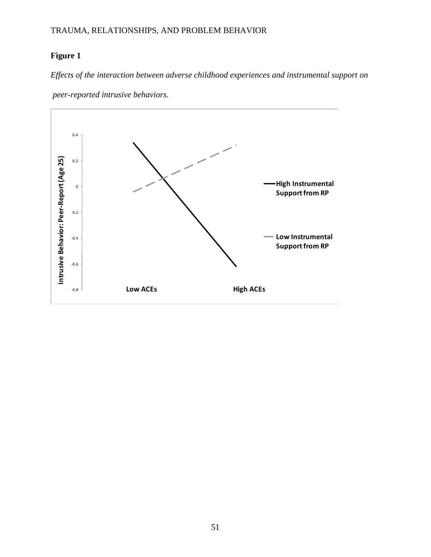## **Figure 1**

*Effects of the interaction between adverse childhood experiences and instrumental support on*



*peer-reported intrusive behaviors.*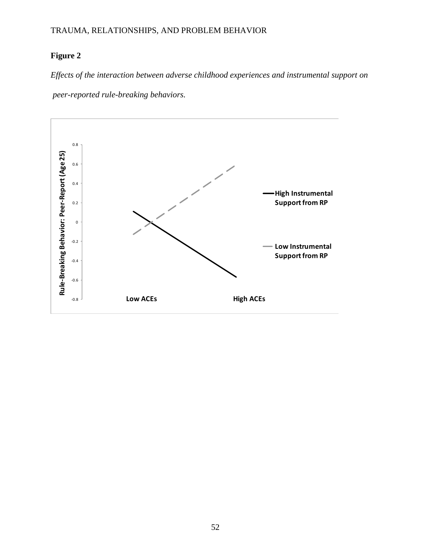## **Figure 2**

*Effects of the interaction between adverse childhood experiences and instrumental support on peer-reported rule-breaking behaviors.*

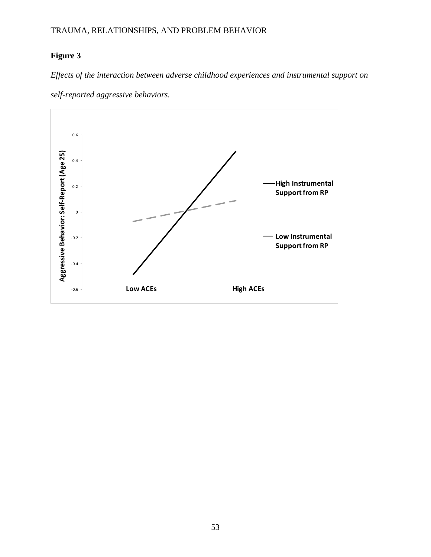## **Figure 3**

*Effects of the interaction between adverse childhood experiences and instrumental support on*



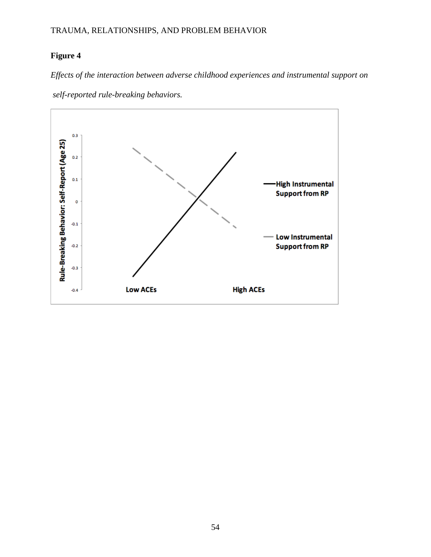### **Figure 4**

*Effects of the interaction between adverse childhood experiences and instrumental support on*



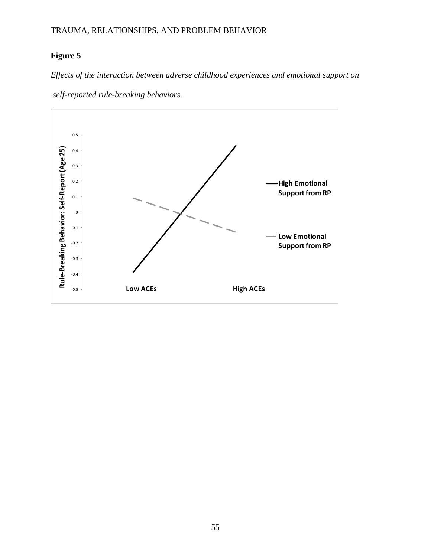## **Figure 5**

*Effects of the interaction between adverse childhood experiences and emotional support on*



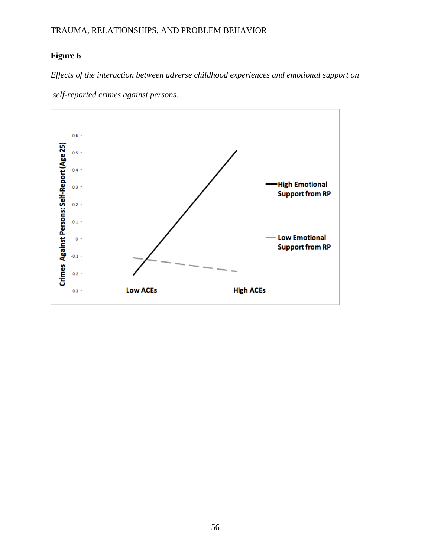## **Figure 6**

*Effects of the interaction between adverse childhood experiences and emotional support on*

*self-reported crimes against persons.*

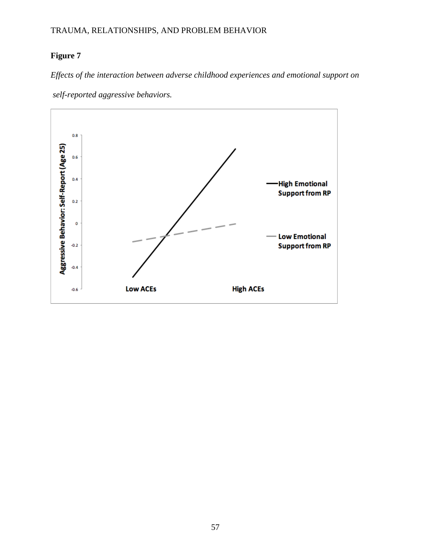## **Figure 7**

*Effects of the interaction between adverse childhood experiences and emotional support on*



*self-reported aggressive behaviors.*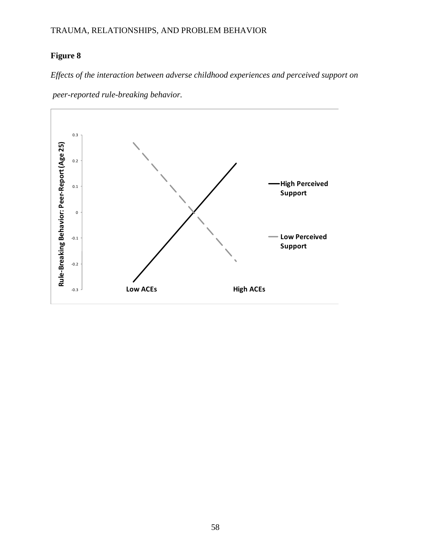## **Figure 8**

*Effects of the interaction between adverse childhood experiences and perceived support on*



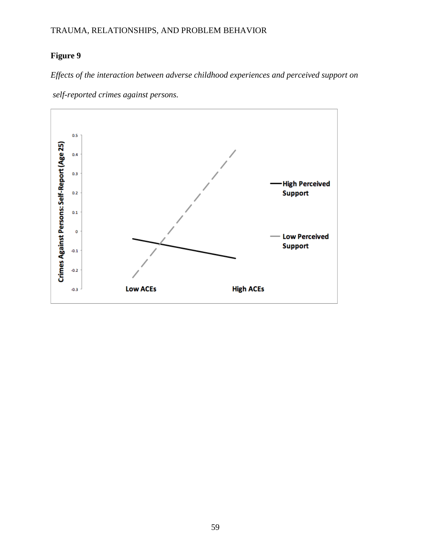### **Figure 9**

*Effects of the interaction between adverse childhood experiences and perceived support on*

*self-reported crimes against persons.*